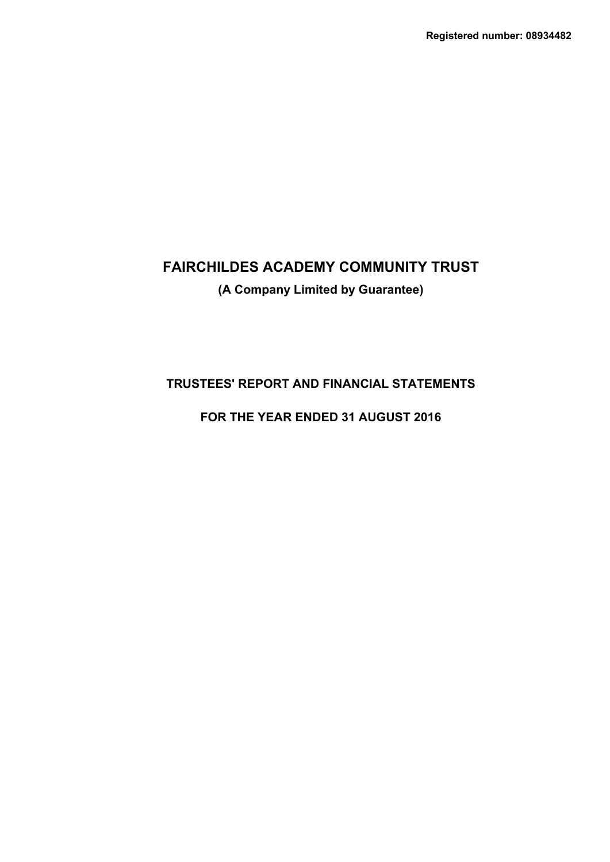# **(A Company Limited by Guarantee)**

## **TRUSTEES' REPORT AND FINANCIAL STATEMENTS**

## **FOR THE YEAR ENDED 31 AUGUST 2016**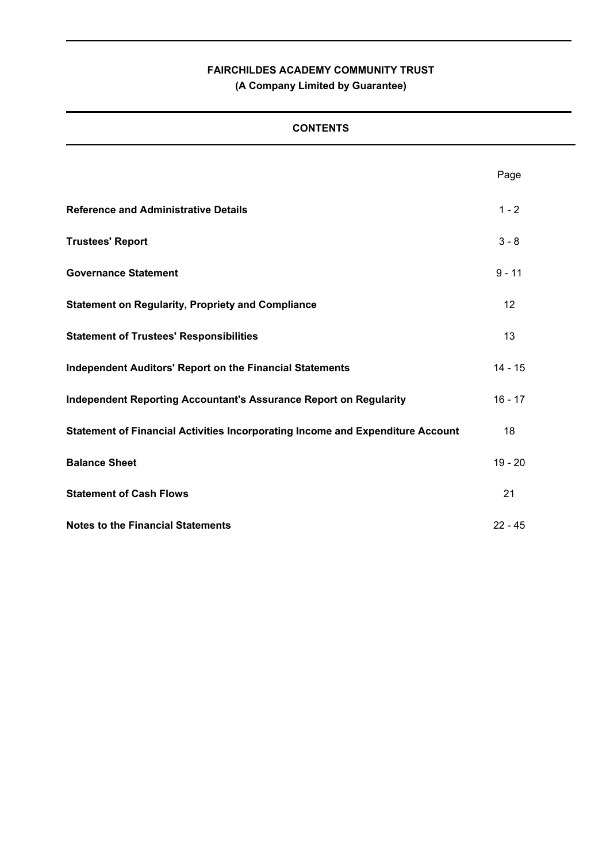## **FAIRCHILDES ACADEMY COMMUNITY TRUST (A Company Limited by Guarantee)**

## **CONTENTS**

|                                                                                | Page      |
|--------------------------------------------------------------------------------|-----------|
| <b>Reference and Administrative Details</b>                                    | $1 - 2$   |
| <b>Trustees' Report</b>                                                        | $3 - 8$   |
| <b>Governance Statement</b>                                                    | $9 - 11$  |
| <b>Statement on Regularity, Propriety and Compliance</b>                       | 12        |
| <b>Statement of Trustees' Responsibilities</b>                                 | 13        |
| <b>Independent Auditors' Report on the Financial Statements</b>                | $14 - 15$ |
| <b>Independent Reporting Accountant's Assurance Report on Regularity</b>       | $16 - 17$ |
| Statement of Financial Activities Incorporating Income and Expenditure Account | 18        |
| <b>Balance Sheet</b>                                                           | $19 - 20$ |
| <b>Statement of Cash Flows</b>                                                 | 21        |
| <b>Notes to the Financial Statements</b>                                       | $22 - 45$ |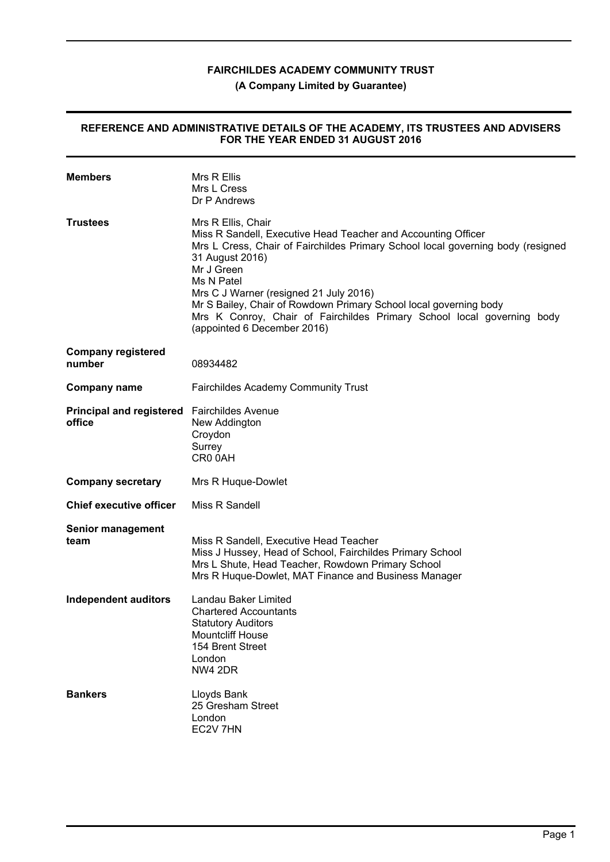## **(A Company Limited by Guarantee)**

### **REFERENCE AND ADMINISTRATIVE DETAILS OF THE ACADEMY, ITS TRUSTEES AND ADVISERS FOR THE YEAR ENDED 31 AUGUST 2016**

| <b>Members</b>                                        | Mrs R Ellis<br>Mrs L Cress<br>Dr P Andrews                                                                                                                                                                                                                                                                                                                                                                                                    |
|-------------------------------------------------------|-----------------------------------------------------------------------------------------------------------------------------------------------------------------------------------------------------------------------------------------------------------------------------------------------------------------------------------------------------------------------------------------------------------------------------------------------|
| <b>Trustees</b>                                       | Mrs R Ellis, Chair<br>Miss R Sandell, Executive Head Teacher and Accounting Officer<br>Mrs L Cress, Chair of Fairchildes Primary School local governing body (resigned<br>31 August 2016)<br>Mr J Green<br>Ms N Patel<br>Mrs C J Warner (resigned 21 July 2016)<br>Mr S Bailey, Chair of Rowdown Primary School local governing body<br>Mrs K Conroy, Chair of Fairchildes Primary School local governing body<br>(appointed 6 December 2016) |
| <b>Company registered</b><br>number                   | 08934482                                                                                                                                                                                                                                                                                                                                                                                                                                      |
| <b>Company name</b>                                   | <b>Fairchildes Academy Community Trust</b>                                                                                                                                                                                                                                                                                                                                                                                                    |
| Principal and registered Fairchildes Avenue<br>office | New Addington<br>Croydon<br>Surrey<br>CR0 0AH                                                                                                                                                                                                                                                                                                                                                                                                 |
| <b>Company secretary</b>                              | Mrs R Huque-Dowlet                                                                                                                                                                                                                                                                                                                                                                                                                            |
| <b>Chief executive officer</b>                        | Miss R Sandell                                                                                                                                                                                                                                                                                                                                                                                                                                |
| <b>Senior management</b><br>team                      | Miss R Sandell, Executive Head Teacher<br>Miss J Hussey, Head of School, Fairchildes Primary School<br>Mrs L Shute, Head Teacher, Rowdown Primary School<br>Mrs R Huque-Dowlet, MAT Finance and Business Manager                                                                                                                                                                                                                              |
| <b>Independent auditors</b>                           | Landau Baker Limited<br><b>Chartered Accountants</b><br><b>Statutory Auditors</b><br><b>Mountcliff House</b><br>154 Brent Street<br>London<br>NW4 2DR                                                                                                                                                                                                                                                                                         |
| <b>Bankers</b>                                        | Lloyds Bank<br>25 Gresham Street<br>London<br>EC2V 7HN                                                                                                                                                                                                                                                                                                                                                                                        |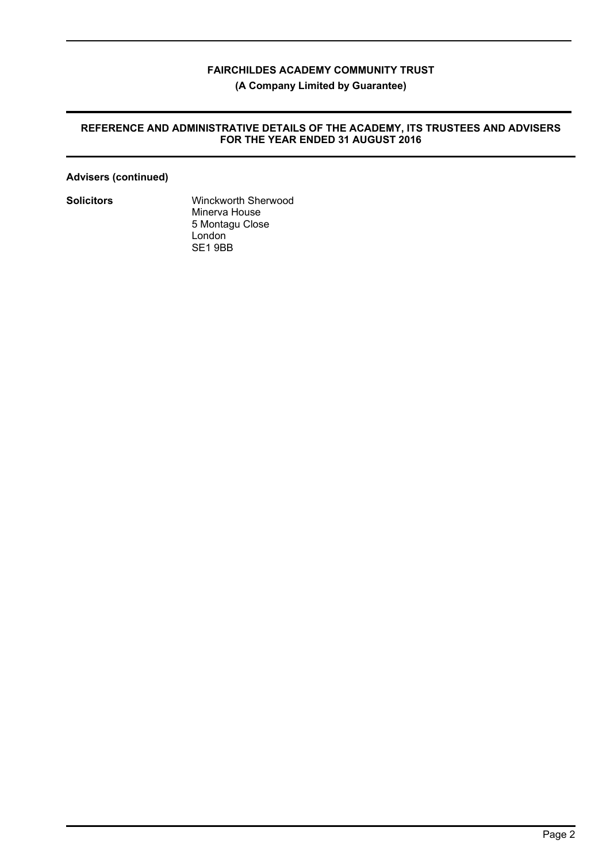**(A Company Limited by Guarantee)**

## **REFERENCE AND ADMINISTRATIVE DETAILS OF THE ACADEMY, ITS TRUSTEES AND ADVISERS FOR THE YEAR ENDED 31 AUGUST 2016**

## **Advisers (continued)**

**Solicitors** Winckworth Sherwood Minerva House 5 Montagu Close London SE1 9BB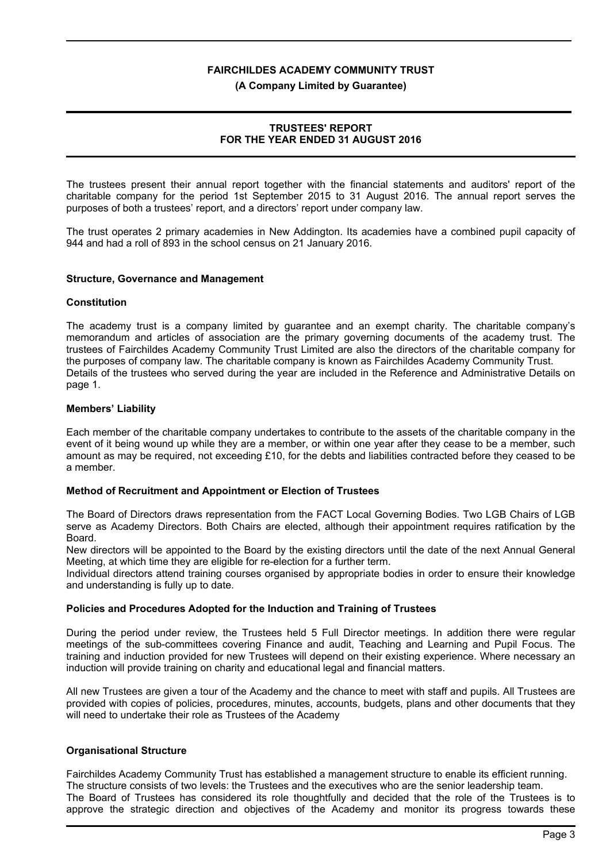#### **(A Company Limited by Guarantee)**

## **TRUSTEES' REPORT FOR THE YEAR ENDED 31 AUGUST 2016**

The trustees present their annual report together with the financial statements and auditors' report of the charitable company for the period 1st September 2015 to 31 August 2016. The annual report serves the purposes of both a trustees' report, and a directors' report under company law.

The trust operates 2 primary academies in New Addington. Its academies have a combined pupil capacity of 944 and had a roll of 893 in the school census on 21 January 2016.

#### **Structure, Governance and Management**

#### **Constitution**

The academy trust is a company limited by guarantee and an exempt charity. The charitable company's memorandum and articles of association are the primary governing documents of the academy trust. The trustees of Fairchildes Academy Community Trust Limited are also the directors of the charitable company for the purposes of company law. The charitable company is known as Fairchildes Academy Community Trust. Details of the trustees who served during the year are included in the Reference and Administrative Details on page 1.

#### **Members' Liability**

Each member of the charitable company undertakes to contribute to the assets of the charitable company in the event of it being wound up while they are a member, or within one year after they cease to be a member, such amount as may be required, not exceeding £10, for the debts and liabilities contracted before they ceased to be a member.

#### **Method of Recruitment and Appointment or Election of Trustees**

The Board of Directors draws representation from the FACT Local Governing Bodies. Two LGB Chairs of LGB serve as Academy Directors. Both Chairs are elected, although their appointment requires ratification by the Board.

New directors will be appointed to the Board by the existing directors until the date of the next Annual General Meeting, at which time they are eligible for re-election for a further term.

Individual directors attend training courses organised by appropriate bodies in order to ensure their knowledge and understanding is fully up to date.

#### **Policies and Procedures Adopted for the Induction and Training of Trustees**

During the period under review, the Trustees held 5 Full Director meetings. In addition there were regular meetings of the sub-committees covering Finance and audit, Teaching and Learning and Pupil Focus. The training and induction provided for new Trustees will depend on their existing experience. Where necessary an induction will provide training on charity and educational legal and financial matters.

All new Trustees are given a tour of the Academy and the chance to meet with staff and pupils. All Trustees are provided with copies of policies, procedures, minutes, accounts, budgets, plans and other documents that they will need to undertake their role as Trustees of the Academy

#### **Organisational Structure**

Fairchildes Academy Community Trust has established a management structure to enable its efficient running. The structure consists of two levels: the Trustees and the executives who are the senior leadership team. The Board of Trustees has considered its role thoughtfully and decided that the role of the Trustees is to approve the strategic direction and objectives of the Academy and monitor its progress towards these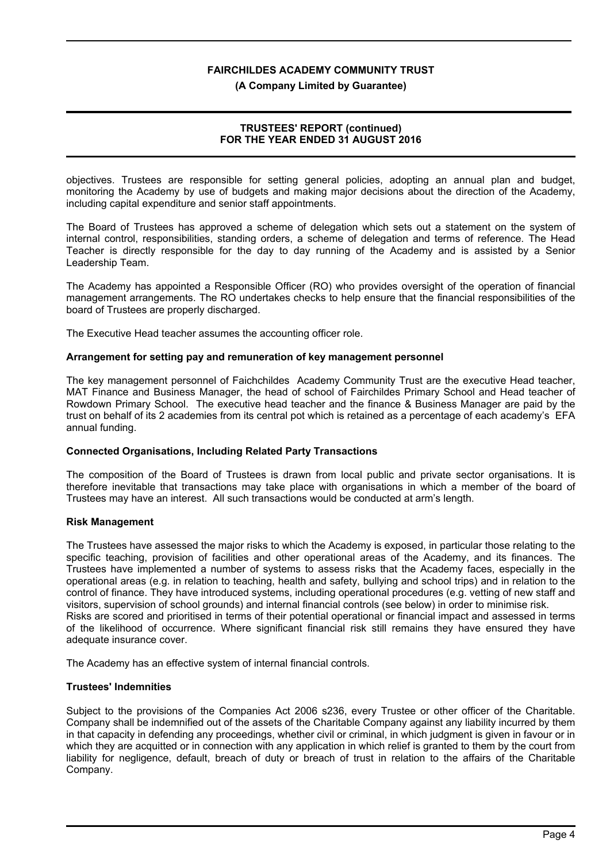#### **(A Company Limited by Guarantee)**

## **TRUSTEES' REPORT (continued) FOR THE YEAR ENDED 31 AUGUST 2016**

objectives. Trustees are responsible for setting general policies, adopting an annual plan and budget, monitoring the Academy by use of budgets and making major decisions about the direction of the Academy, including capital expenditure and senior staff appointments.

The Board of Trustees has approved a scheme of delegation which sets out a statement on the system of internal control, responsibilities, standing orders, a scheme of delegation and terms of reference. The Head Teacher is directly responsible for the day to day running of the Academy and is assisted by a Senior Leadership Team.

The Academy has appointed a Responsible Officer (RO) who provides oversight of the operation of financial management arrangements. The RO undertakes checks to help ensure that the financial responsibilities of the board of Trustees are properly discharged.

The Executive Head teacher assumes the accounting officer role.

#### **Arrangement for setting pay and remuneration of key management personnel**

The key management personnel of Faichchildes Academy Community Trust are the executive Head teacher, MAT Finance and Business Manager, the head of school of Fairchildes Primary School and Head teacher of Rowdown Primary School. The executive head teacher and the finance & Business Manager are paid by the trust on behalf of its 2 academies from its central pot which is retained as a percentage of each academy's EFA annual funding.

## **Connected Organisations, Including Related Party Transactions**

The composition of the Board of Trustees is drawn from local public and private sector organisations. It is therefore inevitable that transactions may take place with organisations in which a member of the board of Trustees may have an interest. All such transactions would be conducted at arm's length.

#### **Risk Management**

The Trustees have assessed the major risks to which the Academy is exposed, in particular those relating to the specific teaching, provision of facilities and other operational areas of the Academy, and its finances. The Trustees have implemented a number of systems to assess risks that the Academy faces, especially in the operational areas (e.g. in relation to teaching, health and safety, bullying and school trips) and in relation to the control of finance. They have introduced systems, including operational procedures (e.g. vetting of new staff and visitors, supervision of school grounds) and internal financial controls (see below) in order to minimise risk. Risks are scored and prioritised in terms of their potential operational or financial impact and assessed in terms of the likelihood of occurrence. Where significant financial risk still remains they have ensured they have adequate insurance cover.

The Academy has an effective system of internal financial controls.

#### **Trustees' Indemnities**

Subject to the provisions of the Companies Act 2006 s236, every Trustee or other officer of the Charitable. Company shall be indemnified out of the assets of the Charitable Company against any liability incurred by them in that capacity in defending any proceedings, whether civil or criminal, in which judgment is given in favour or in which they are acquitted or in connection with any application in which relief is granted to them by the court from liability for negligence, default, breach of duty or breach of trust in relation to the affairs of the Charitable Company.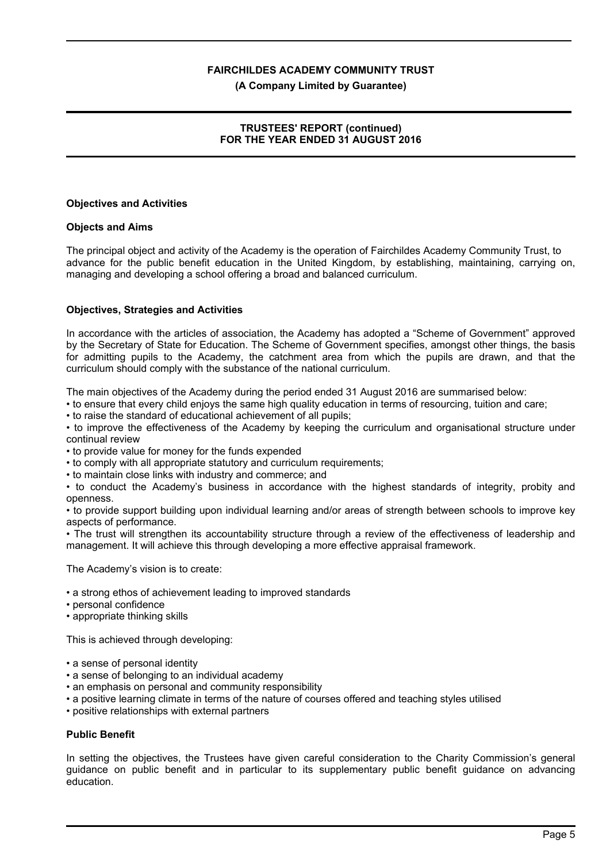#### **(A Company Limited by Guarantee)**

## **TRUSTEES' REPORT (continued) FOR THE YEAR ENDED 31 AUGUST 2016**

#### **Objectives and Activities**

#### **Objects and Aims**

The principal object and activity of the Academy is the operation of Fairchildes Academy Community Trust, to advance for the public benefit education in the United Kingdom, by establishing, maintaining, carrying on, managing and developing a school offering a broad and balanced curriculum.

#### **Objectives, Strategies and Activities**

In accordance with the articles of association, the Academy has adopted a "Scheme of Government" approved by the Secretary of State for Education. The Scheme of Government specifies, amongst other things, the basis for admitting pupils to the Academy, the catchment area from which the pupils are drawn, and that the curriculum should comply with the substance of the national curriculum.

The main objectives of the Academy during the period ended 31 August 2016 are summarised below:

• to ensure that every child enjoys the same high quality education in terms of resourcing, tuition and care;

• to raise the standard of educational achievement of all pupils;

• to improve the effectiveness of the Academy by keeping the curriculum and organisational structure under continual review

• to provide value for money for the funds expended

• to comply with all appropriate statutory and curriculum requirements;

• to maintain close links with industry and commerce; and

• to conduct the Academy's business in accordance with the highest standards of integrity, probity and openness.

• to provide support building upon individual learning and/or areas of strength between schools to improve key aspects of performance.

• The trust will strengthen its accountability structure through a review of the effectiveness of leadership and management. It will achieve this through developing a more effective appraisal framework.

The Academy's vision is to create:

- a strong ethos of achievement leading to improved standards
- personal confidence
- appropriate thinking skills

This is achieved through developing:

- a sense of personal identity
- a sense of belonging to an individual academy
- an emphasis on personal and community responsibility
- a positive learning climate in terms of the nature of courses offered and teaching styles utilised
- positive relationships with external partners

## **Public Benefit**

In setting the objectives, the Trustees have given careful consideration to the Charity Commission's general guidance on public benefit and in particular to its supplementary public benefit guidance on advancing education.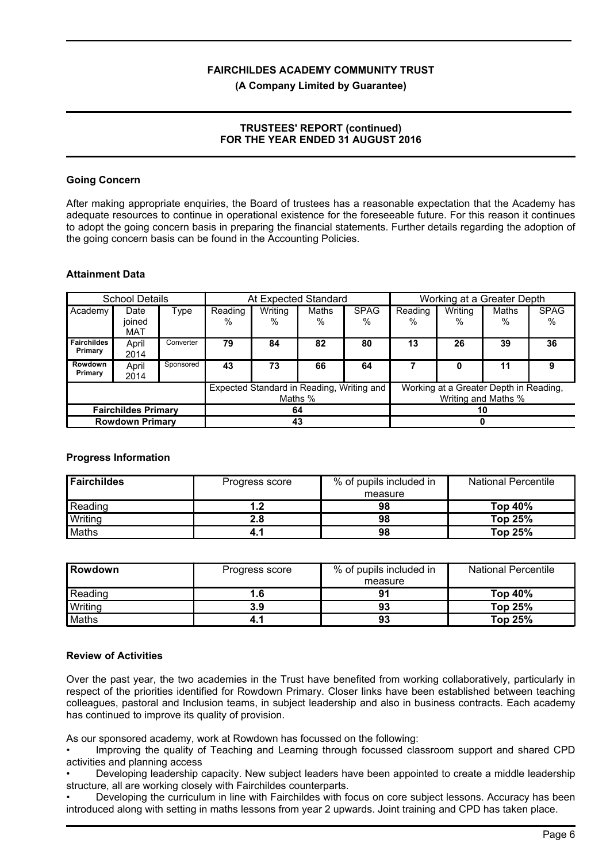#### **(A Company Limited by Guarantee)**

## **TRUSTEES' REPORT (continued) FOR THE YEAR ENDED 31 AUGUST 2016**

## **Going Concern**

After making appropriate enquiries, the Board of trustees has a reasonable expectation that the Academy has adequate resources to continue in operational existence for the foreseeable future. For this reason it continues to adopt the going concern basis in preparing the financial statements. Further details regarding the adoption of the going concern basis can be found in the Accounting Policies.

#### **Attainment Data**

| <b>School Details</b>         |                       |           | At Expected Standard                                 |              |               |                                                               | Working at a Greater Depth |                 |                      |                  |
|-------------------------------|-----------------------|-----------|------------------------------------------------------|--------------|---------------|---------------------------------------------------------------|----------------------------|-----------------|----------------------|------------------|
| Academy                       | Date<br>joined<br>MAT | Type      | Reading<br>$\%$                                      | Writing<br>% | Maths<br>$\%$ | <b>SPAG</b><br>%                                              | Reading<br>$\%$            | Writing<br>$\%$ | <b>Maths</b><br>$\%$ | <b>SPAG</b><br>% |
| <b>Fairchildes</b><br>Primary | April<br>2014         | Converter | 79                                                   | 84           | 82            | 80                                                            | 13                         | 26              | 39                   | 36               |
| Rowdown<br>Primary            | April<br>2014         | Sponsored | 43                                                   | 73           | 66            | 64                                                            |                            | 0               | 11                   | 9                |
|                               |                       |           | Expected Standard in Reading, Writing and<br>Maths % |              |               | Working at a Greater Depth in Reading,<br>Writing and Maths % |                            |                 |                      |                  |
| <b>Fairchildes Primary</b>    |                       |           | 64                                                   |              |               | 10                                                            |                            |                 |                      |                  |
| <b>Rowdown Primary</b>        |                       |           | 43                                                   |              |               |                                                               |                            |                 |                      |                  |

## **Progress Information**

| <b>Fairchildes</b> | Progress score | % of pupils included in | <b>National Percentile</b> |
|--------------------|----------------|-------------------------|----------------------------|
|                    |                | measure                 |                            |
| Reading            | 1.2            | 98                      | Top 40%                    |
| Writing            | 2.8            | 98                      | Top 25%                    |
| Maths              | 4.1            | 98                      | Top 25%                    |

| <b>Rowdown</b> | Progress score | % of pupils included in | <b>National Percentile</b> |
|----------------|----------------|-------------------------|----------------------------|
|                |                | measure                 |                            |
| Reading        | 1.6            | 91                      | Top $40\%$                 |
| <b>Writing</b> | 3.9            | 93                      | Top 25%                    |
| Maths          | 4.1            | 93                      | Top 25%                    |

#### **Review of Activities**

Over the past year, the two academies in the Trust have benefited from working collaboratively, particularly in respect of the priorities identified for Rowdown Primary. Closer links have been established between teaching colleagues, pastoral and Inclusion teams, in subject leadership and also in business contracts. Each academy has continued to improve its quality of provision.

As our sponsored academy, work at Rowdown has focussed on the following:

• Improving the quality of Teaching and Learning through focussed classroom support and shared CPD activities and planning access

• Developing leadership capacity. New subject leaders have been appointed to create a middle leadership structure, all are working closely with Fairchildes counterparts.

• Developing the curriculum in line with Fairchildes with focus on core subject lessons. Accuracy has been introduced along with setting in maths lessons from year 2 upwards. Joint training and CPD has taken place.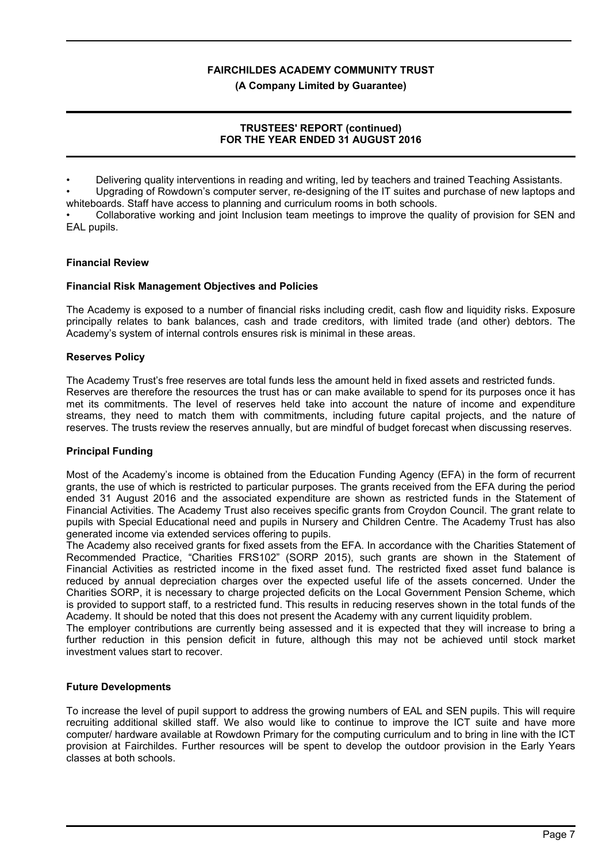#### **(A Company Limited by Guarantee)**

## **TRUSTEES' REPORT (continued) FOR THE YEAR ENDED 31 AUGUST 2016**

• Delivering quality interventions in reading and writing, led by teachers and trained Teaching Assistants.

• Upgrading of Rowdown's computer server, re-designing of the IT suites and purchase of new laptops and whiteboards. Staff have access to planning and curriculum rooms in both schools.

• Collaborative working and joint Inclusion team meetings to improve the quality of provision for SEN and EAL pupils.

## **Financial Review**

## **Financial Risk Management Objectives and Policies**

The Academy is exposed to a number of financial risks including credit, cash flow and liquidity risks. Exposure principally relates to bank balances, cash and trade creditors, with limited trade (and other) debtors. The Academy's system of internal controls ensures risk is minimal in these areas.

## **Reserves Policy**

The Academy Trust's free reserves are total funds less the amount held in fixed assets and restricted funds. Reserves are therefore the resources the trust has or can make available to spend for its purposes once it has met its commitments. The level of reserves held take into account the nature of income and expenditure streams, they need to match them with commitments, including future capital projects, and the nature of reserves. The trusts review the reserves annually, but are mindful of budget forecast when discussing reserves.

## **Principal Funding**

Most of the Academy's income is obtained from the Education Funding Agency (EFA) in the form of recurrent grants, the use of which is restricted to particular purposes. The grants received from the EFA during the period ended 31 August 2016 and the associated expenditure are shown as restricted funds in the Statement of Financial Activities. The Academy Trust also receives specific grants from Croydon Council. The grant relate to pupils with Special Educational need and pupils in Nursery and Children Centre. The Academy Trust has also generated income via extended services offering to pupils.

The Academy also received grants for fixed assets from the EFA. In accordance with the Charities Statement of Recommended Practice, "Charities FRS102" (SORP 2015), such grants are shown in the Statement of Financial Activities as restricted income in the fixed asset fund. The restricted fixed asset fund balance is reduced by annual depreciation charges over the expected useful life of the assets concerned. Under the Charities SORP, it is necessary to charge projected deficits on the Local Government Pension Scheme, which is provided to support staff, to a restricted fund. This results in reducing reserves shown in the total funds of the Academy. It should be noted that this does not present the Academy with any current liquidity problem.

The employer contributions are currently being assessed and it is expected that they will increase to bring a further reduction in this pension deficit in future, although this may not be achieved until stock market investment values start to recover.

## **Future Developments**

To increase the level of pupil support to address the growing numbers of EAL and SEN pupils. This will require recruiting additional skilled staff. We also would like to continue to improve the ICT suite and have more computer/ hardware available at Rowdown Primary for the computing curriculum and to bring in line with the ICT provision at Fairchildes. Further resources will be spent to develop the outdoor provision in the Early Years classes at both schools.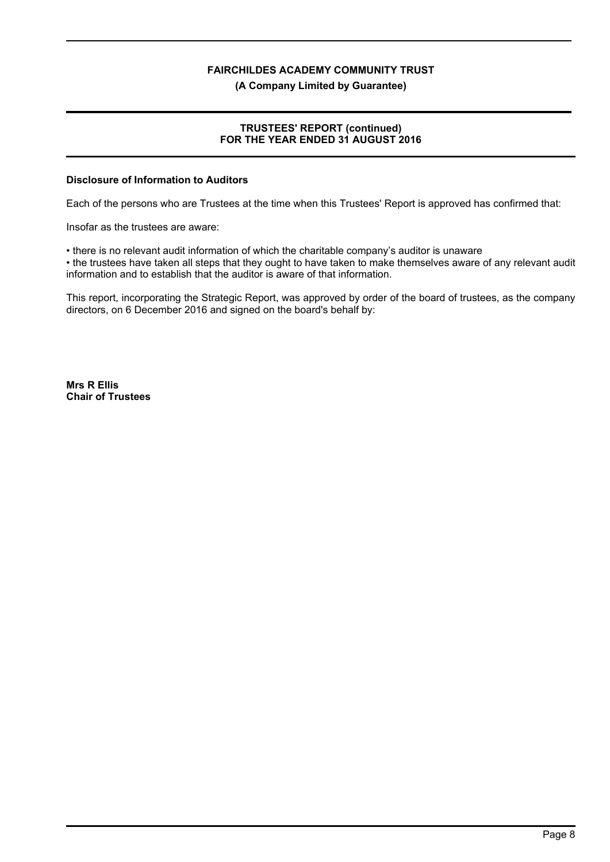**(A Company Limited by Guarantee)**

## **TRUSTEES' REPORT (continued) FOR THE YEAR ENDED 31 AUGUST 2016**

#### **Disclosure of Information to Auditors**

Each of the persons who are Trustees at the time when this Trustees' Report is approved has confirmed that:

Insofar as the trustees are aware:

• there is no relevant audit information of which the charitable company's auditor is unaware

• the trustees have taken all steps that they ought to have taken to make themselves aware of any relevant audit information and to establish that the auditor is aware of that information.

This report, incorporating the Strategic Report, was approved by order of the board of trustees, as the company directors, on 6 December 2016 and signed on the board's behalf by:

**Mrs R Ellis Chair of Trustees**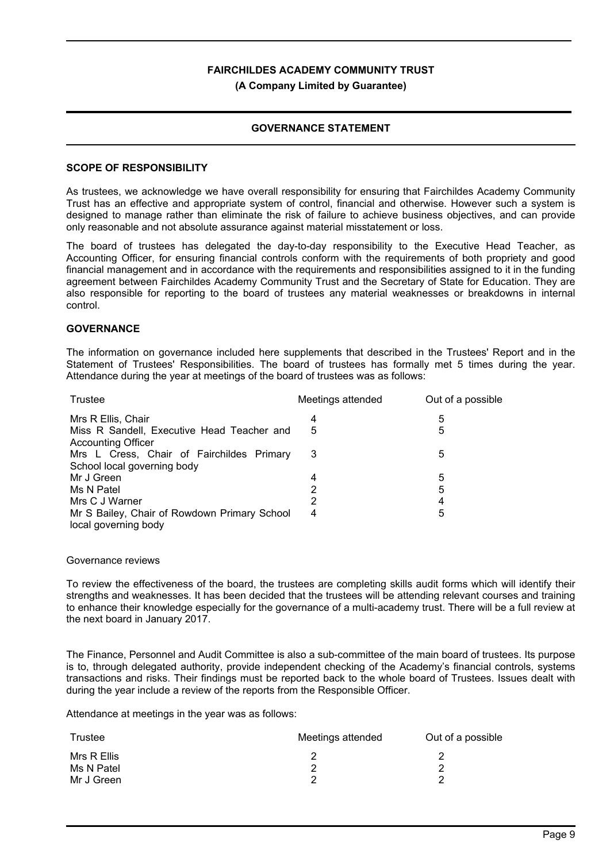#### **(A Company Limited by Guarantee)**

## **GOVERNANCE STATEMENT**

#### **SCOPE OF RESPONSIBILITY**

As trustees, we acknowledge we have overall responsibility for ensuring that Fairchildes Academy Community Trust has an effective and appropriate system of control, financial and otherwise. However such a system is designed to manage rather than eliminate the risk of failure to achieve business objectives, and can provide only reasonable and not absolute assurance against material misstatement or loss.

The board of trustees has delegated the day-to-day responsibility to the Executive Head Teacher, as Accounting Officer, for ensuring financial controls conform with the requirements of both propriety and good financial management and in accordance with the requirements and responsibilities assigned to it in the funding agreement between Fairchildes Academy Community Trust and the Secretary of State for Education. They are also responsible for reporting to the board of trustees any material weaknesses or breakdowns in internal control.

#### **GOVERNANCE**

The information on governance included here supplements that described in the Trustees' Report and in the Statement of Trustees' Responsibilities. The board of trustees has formally met 5 times during the year. Attendance during the year at meetings of the board of trustees was as follows:

| Trustee                                      | Meetings attended | Out of a possible |
|----------------------------------------------|-------------------|-------------------|
| Mrs R Ellis, Chair                           | 4                 | 5                 |
| Miss R Sandell, Executive Head Teacher and   | 5                 | 5                 |
| <b>Accounting Officer</b>                    |                   |                   |
| Mrs L Cress, Chair of Fairchildes Primary    | 3                 | 5                 |
| School local governing body                  |                   |                   |
| Mr J Green                                   | 4                 | 5                 |
| Ms N Patel                                   | 2                 | 5                 |
| Mrs C J Warner                               | 2                 | 4                 |
| Mr S Bailey, Chair of Rowdown Primary School | 4                 | 5                 |
| local governing body                         |                   |                   |

#### Governance reviews

To review the effectiveness of the board, the trustees are completing skills audit forms which will identify their strengths and weaknesses. It has been decided that the trustees will be attending relevant courses and training to enhance their knowledge especially for the governance of a multi-academy trust. There will be a full review at the next board in January 2017.

The Finance, Personnel and Audit Committee is also a sub-committee of the main board of trustees. Its purpose is to, through delegated authority, provide independent checking of the Academy's financial controls, systems transactions and risks. Their findings must be reported back to the whole board of Trustees. Issues dealt with during the year include a review of the reports from the Responsible Officer.

Attendance at meetings in the year was as follows:

| <b>Trustee</b>                          | Meetings attended | Out of a possible |
|-----------------------------------------|-------------------|-------------------|
| Mrs R Ellis<br>Ms N Patel<br>Mr J Green |                   |                   |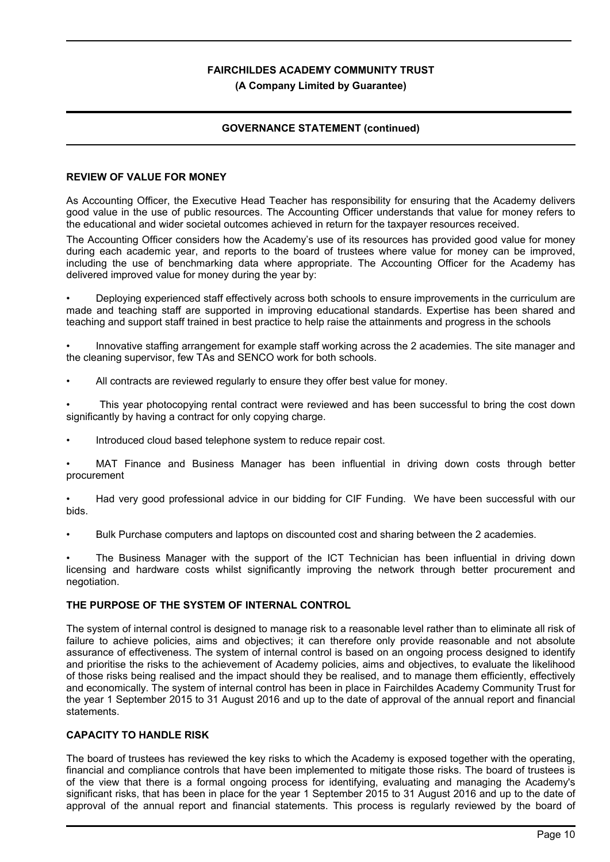## **(A Company Limited by Guarantee)**

## **GOVERNANCE STATEMENT (continued)**

## **REVIEW OF VALUE FOR MONEY**

As Accounting Officer, the Executive Head Teacher has responsibility for ensuring that the Academy delivers good value in the use of public resources. The Accounting Officer understands that value for money refers to the educational and wider societal outcomes achieved in return for the taxpayer resources received.

The Accounting Officer considers how the Academy's use of its resources has provided good value for money during each academic year, and reports to the board of trustees where value for money can be improved, including the use of benchmarking data where appropriate. The Accounting Officer for the Academy has delivered improved value for money during the year by:

• Deploying experienced staff effectively across both schools to ensure improvements in the curriculum are made and teaching staff are supported in improving educational standards. Expertise has been shared and teaching and support staff trained in best practice to help raise the attainments and progress in the schools

• Innovative staffing arrangement for example staff working across the 2 academies. The site manager and the cleaning supervisor, few TAs and SENCO work for both schools.

All contracts are reviewed regularly to ensure they offer best value for money.

• This year photocopying rental contract were reviewed and has been successful to bring the cost down significantly by having a contract for only copying charge.

• Introduced cloud based telephone system to reduce repair cost.

MAT Finance and Business Manager has been influential in driving down costs through better procurement

• Had very good professional advice in our bidding for CIF Funding. We have been successful with our bids.

• Bulk Purchase computers and laptops on discounted cost and sharing between the 2 academies.

The Business Manager with the support of the ICT Technician has been influential in driving down licensing and hardware costs whilst significantly improving the network through better procurement and negotiation.

## **THE PURPOSE OF THE SYSTEM OF INTERNAL CONTROL**

The system of internal control is designed to manage risk to a reasonable level rather than to eliminate all risk of failure to achieve policies, aims and objectives; it can therefore only provide reasonable and not absolute assurance of effectiveness. The system of internal control is based on an ongoing process designed to identify and prioritise the risks to the achievement of Academy policies, aims and objectives, to evaluate the likelihood of those risks being realised and the impact should they be realised, and to manage them efficiently, effectively and economically. The system of internal control has been in place in Fairchildes Academy Community Trust for the year 1 September 2015 to 31 August 2016 and up to the date of approval of the annual report and financial statements.

## **CAPACITY TO HANDLE RISK**

The board of trustees has reviewed the key risks to which the Academy is exposed together with the operating, financial and compliance controls that have been implemented to mitigate those risks. The board of trustees is of the view that there is a formal ongoing process for identifying, evaluating and managing the Academy's significant risks, that has been in place for the year 1 September 2015 to 31 August 2016 and up to the date of approval of the annual report and financial statements. This process is regularly reviewed by the board of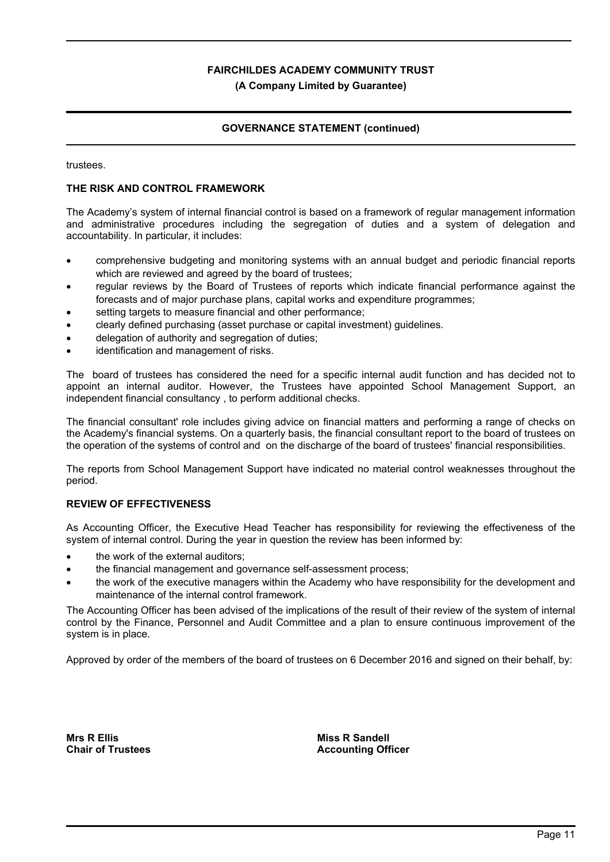### **(A Company Limited by Guarantee)**

## **GOVERNANCE STATEMENT (continued)**

trustees.

## **THE RISK AND CONTROL FRAMEWORK**

The Academy's system of internal financial control is based on a framework of regular management information and administrative procedures including the segregation of duties and a system of delegation and accountability. In particular, it includes:

- comprehensive budgeting and monitoring systems with an annual budget and periodic financial reports which are reviewed and agreed by the board of trustees;
- regular reviews by the Board of Trustees of reports which indicate financial performance against the forecasts and of major purchase plans, capital works and expenditure programmes;
- setting targets to measure financial and other performance:
- clearly defined purchasing (asset purchase or capital investment) guidelines.
- delegation of authority and segregation of duties;
- identification and management of risks.

The board of trustees has considered the need for a specific internal audit function and has decided not to appoint an internal auditor. However, the Trustees have appointed School Management Support, an independent financial consultancy , to perform additional checks.

The financial consultant' role includes giving advice on financial matters and performing a range of checks on the Academy's financial systems. On a quarterly basis, the financial consultant report to the board of trustees on the operation of the systems of control and on the discharge of the board of trustees' financial responsibilities.

The reports from School Management Support have indicated no material control weaknesses throughout the period.

## **REVIEW OF EFFECTIVENESS**

As Accounting Officer, the Executive Head Teacher has responsibility for reviewing the effectiveness of the system of internal control. During the year in question the review has been informed by:

- the work of the external auditors;
- the financial management and governance self-assessment process;
- the work of the executive managers within the Academy who have responsibility for the development and maintenance of the internal control framework.

The Accounting Officer has been advised of the implications of the result of their review of the system of internal control by the Finance, Personnel and Audit Committee and a plan to ensure continuous improvement of the system is in place.

Approved by order of the members of the board of trustees on 6 December 2016 and signed on their behalf, by:

**Mrs R Ellis Chair of Trustees**

**Miss R Sandell Accounting Officer**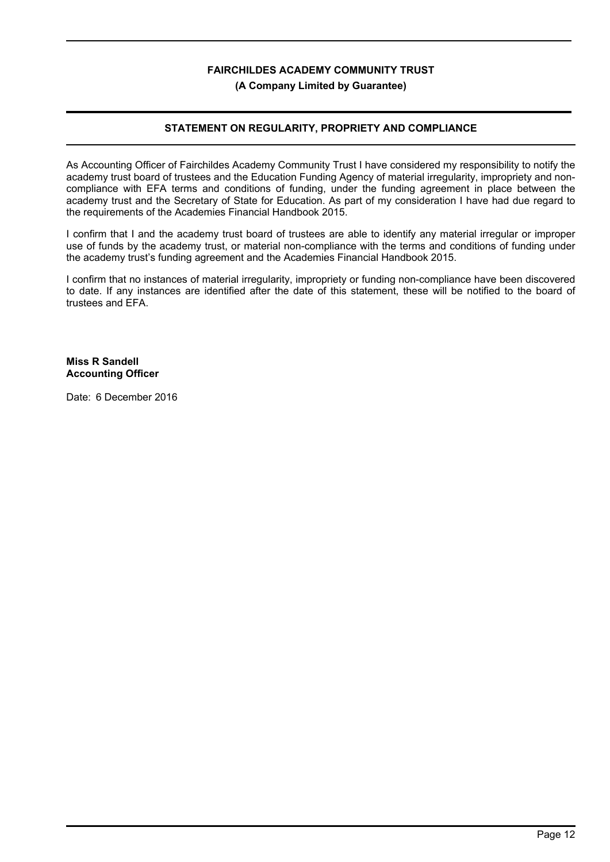## **FAIRCHILDES ACADEMY COMMUNITY TRUST (A Company Limited by Guarantee)**

## **STATEMENT ON REGULARITY, PROPRIETY AND COMPLIANCE**

As Accounting Officer of Fairchildes Academy Community Trust I have considered my responsibility to notify the academy trust board of trustees and the Education Funding Agency of material irregularity, impropriety and noncompliance with EFA terms and conditions of funding, under the funding agreement in place between the academy trust and the Secretary of State for Education. As part of my consideration I have had due regard to the requirements of the Academies Financial Handbook 2015.

I confirm that I and the academy trust board of trustees are able to identify any material irregular or improper use of funds by the academy trust, or material non-compliance with the terms and conditions of funding under the academy trust's funding agreement and the Academies Financial Handbook 2015.

I confirm that no instances of material irregularity, impropriety or funding non-compliance have been discovered to date. If any instances are identified after the date of this statement, these will be notified to the board of trustees and EFA.

**Miss R Sandell Accounting Officer**

Date: 6 December 2016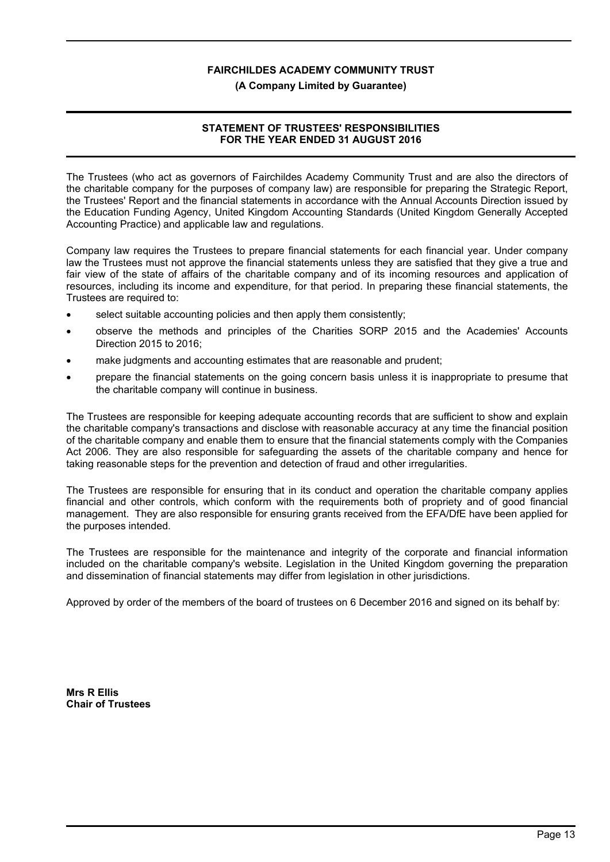#### **(A Company Limited by Guarantee)**

## **STATEMENT OF TRUSTEES' RESPONSIBILITIES FOR THE YEAR ENDED 31 AUGUST 2016**

The Trustees (who act as governors of Fairchildes Academy Community Trust and are also the directors of the charitable company for the purposes of company law) are responsible for preparing the Strategic Report, the Trustees' Report and the financial statements in accordance with the Annual Accounts Direction issued by the Education Funding Agency, United Kingdom Accounting Standards (United Kingdom Generally Accepted Accounting Practice) and applicable law and regulations.

Company law requires the Trustees to prepare financial statements for each financial year. Under company law the Trustees must not approve the financial statements unless they are satisfied that they give a true and fair view of the state of affairs of the charitable company and of its incoming resources and application of resources, including its income and expenditure, for that period. In preparing these financial statements, the Trustees are required to:

- select suitable accounting policies and then apply them consistently;
- observe the methods and principles of the Charities SORP 2015 and the Academies' Accounts Direction 2015 to 2016;
- make judgments and accounting estimates that are reasonable and prudent;
- prepare the financial statements on the going concern basis unless it is inappropriate to presume that the charitable company will continue in business.

The Trustees are responsible for keeping adequate accounting records that are sufficient to show and explain the charitable company's transactions and disclose with reasonable accuracy at any time the financial position of the charitable company and enable them to ensure that the financial statements comply with the Companies Act 2006. They are also responsible for safeguarding the assets of the charitable company and hence for taking reasonable steps for the prevention and detection of fraud and other irregularities.

The Trustees are responsible for ensuring that in its conduct and operation the charitable company applies financial and other controls, which conform with the requirements both of propriety and of good financial management. They are also responsible for ensuring grants received from the EFA/DfE have been applied for the purposes intended.

The Trustees are responsible for the maintenance and integrity of the corporate and financial information included on the charitable company's website. Legislation in the United Kingdom governing the preparation and dissemination of financial statements may differ from legislation in other jurisdictions.

Approved by order of the members of the board of trustees on 6 December 2016 and signed on its behalf by:

**Mrs R Ellis Chair of Trustees**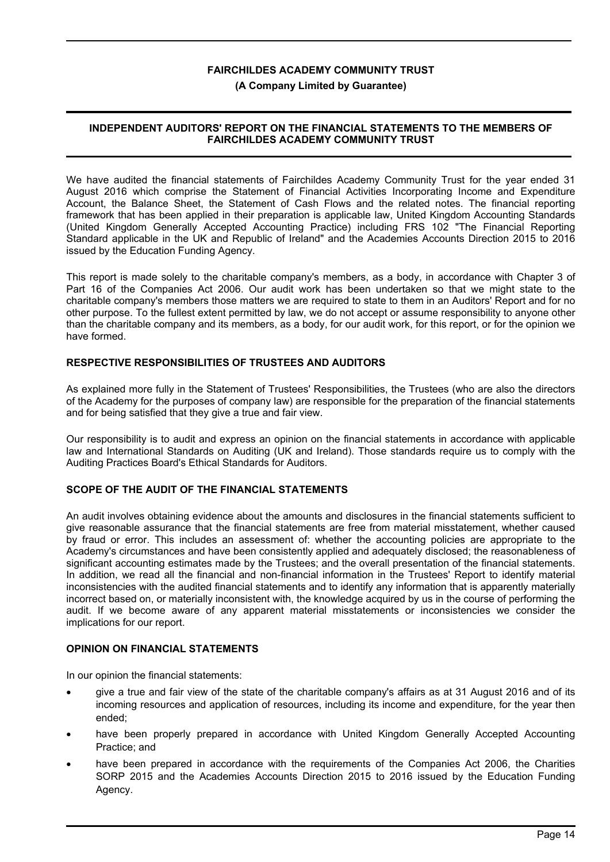#### **(A Company Limited by Guarantee)**

## **INDEPENDENT AUDITORS' REPORT ON THE FINANCIAL STATEMENTS TO THE MEMBERS OF FAIRCHILDES ACADEMY COMMUNITY TRUST**

We have audited the financial statements of Fairchildes Academy Community Trust for the year ended 31 August 2016 which comprise the Statement of Financial Activities Incorporating Income and Expenditure Account, the Balance Sheet, the Statement of Cash Flows and the related notes. The financial reporting framework that has been applied in their preparation is applicable law, United Kingdom Accounting Standards (United Kingdom Generally Accepted Accounting Practice) including FRS 102 "The Financial Reporting Standard applicable in the UK and Republic of Ireland" and the Academies Accounts Direction 2015 to 2016 issued by the Education Funding Agency.

This report is made solely to the charitable company's members, as a body, in accordance with Chapter 3 of Part 16 of the Companies Act 2006. Our audit work has been undertaken so that we might state to the charitable company's members those matters we are required to state to them in an Auditors' Report and for no other purpose. To the fullest extent permitted by law, we do not accept or assume responsibility to anyone other than the charitable company and its members, as a body, for our audit work, for this report, or for the opinion we have formed.

## **RESPECTIVE RESPONSIBILITIES OF TRUSTEES AND AUDITORS**

As explained more fully in the Statement of Trustees' Responsibilities, the Trustees (who are also the directors of the Academy for the purposes of company law) are responsible for the preparation of the financial statements and for being satisfied that they give a true and fair view.

Our responsibility is to audit and express an opinion on the financial statements in accordance with applicable law and International Standards on Auditing (UK and Ireland). Those standards require us to comply with the Auditing Practices Board's Ethical Standards for Auditors.

## **SCOPE OF THE AUDIT OF THE FINANCIAL STATEMENTS**

An audit involves obtaining evidence about the amounts and disclosures in the financial statements sufficient to give reasonable assurance that the financial statements are free from material misstatement, whether caused by fraud or error. This includes an assessment of: whether the accounting policies are appropriate to the Academy's circumstances and have been consistently applied and adequately disclosed; the reasonableness of significant accounting estimates made by the Trustees; and the overall presentation of the financial statements. In addition, we read all the financial and non-financial information in the Trustees' Report to identify material inconsistencies with the audited financial statements and to identify any information that is apparently materially incorrect based on, or materially inconsistent with, the knowledge acquired by us in the course of performing the audit. If we become aware of any apparent material misstatements or inconsistencies we consider the implications for our report.

## **OPINION ON FINANCIAL STATEMENTS**

In our opinion the financial statements:

- give a true and fair view of the state of the charitable company's affairs as at 31 August 2016 and of its incoming resources and application of resources, including its income and expenditure, for the year then ended;
- have been properly prepared in accordance with United Kingdom Generally Accepted Accounting Practice; and
- have been prepared in accordance with the requirements of the Companies Act 2006, the Charities SORP 2015 and the Academies Accounts Direction 2015 to 2016 issued by the Education Funding Agency.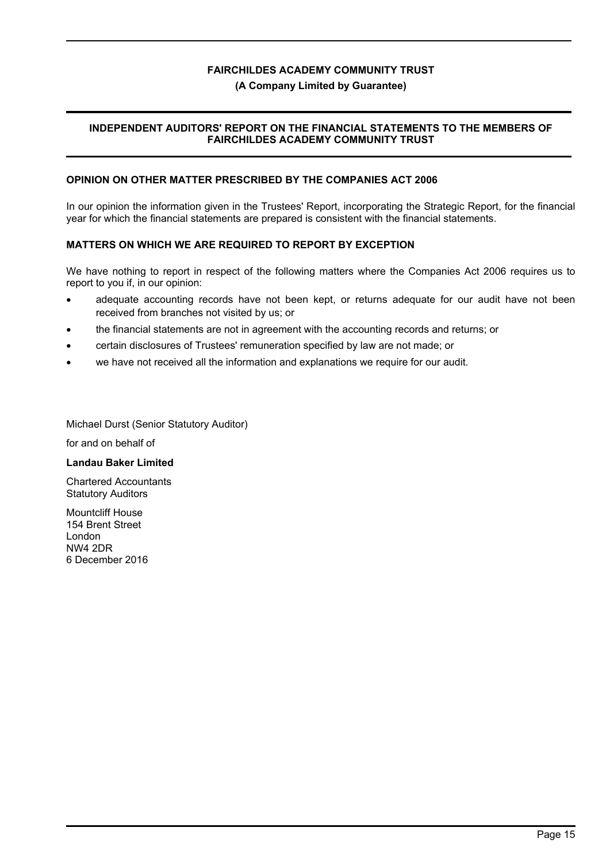#### **(A Company Limited by Guarantee)**

## **INDEPENDENT AUDITORS' REPORT ON THE FINANCIAL STATEMENTS TO THE MEMBERS OF FAIRCHILDES ACADEMY COMMUNITY TRUST**

### **OPINION ON OTHER MATTER PRESCRIBED BY THE COMPANIES ACT 2006**

In our opinion the information given in the Trustees' Report, incorporating the Strategic Report, for the financial year for which the financial statements are prepared is consistent with the financial statements.

## **MATTERS ON WHICH WE ARE REQUIRED TO REPORT BY EXCEPTION**

We have nothing to report in respect of the following matters where the Companies Act 2006 requires us to report to you if, in our opinion:

- adequate accounting records have not been kept, or returns adequate for our audit have not been received from branches not visited by us; or
- the financial statements are not in agreement with the accounting records and returns; or
- certain disclosures of Trustees' remuneration specified by law are not made; or Ī
- we have not received all the information and explanations we require for our audit.

Michael Durst (Senior Statutory Auditor)

 for and on behalf of

#### **Landau Baker Limited**

Chartered Accountants Statutory Auditors

Mountcliff House 154 Brent Street London NW4 2DR 6 December 2016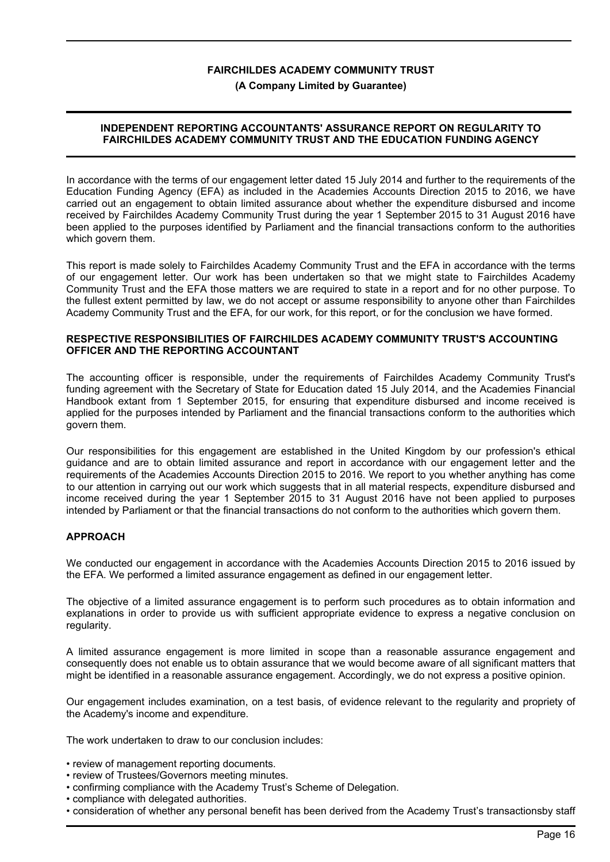#### **(A Company Limited by Guarantee)**

## **INDEPENDENT REPORTING ACCOUNTANTS' ASSURANCE REPORT ON REGULARITY TO FAIRCHILDES ACADEMY COMMUNITY TRUST AND THE EDUCATION FUNDING AGENCY**

In accordance with the terms of our engagement letter dated 15 July 2014 and further to the requirements of the Education Funding Agency (EFA) as included in the Academies Accounts Direction 2015 to 2016, we have carried out an engagement to obtain limited assurance about whether the expenditure disbursed and income received by Fairchildes Academy Community Trust during the year 1 September 2015 to 31 August 2016 have been applied to the purposes identified by Parliament and the financial transactions conform to the authorities which govern them.

This report is made solely to Fairchildes Academy Community Trust and the EFA in accordance with the terms of our engagement letter. Our work has been undertaken so that we might state to Fairchildes Academy Community Trust and the EFA those matters we are required to state in a report and for no other purpose. To the fullest extent permitted by law, we do not accept or assume responsibility to anyone other than Fairchildes Academy Community Trust and the EFA, for our work, for this report, or for the conclusion we have formed.

#### **RESPECTIVE RESPONSIBILITIES OF FAIRCHILDES ACADEMY COMMUNITY TRUST'S ACCOUNTING OFFICER AND THE REPORTING ACCOUNTANT**

The accounting officer is responsible, under the requirements of Fairchildes Academy Community Trust's funding agreement with the Secretary of State for Education dated 15 July 2014, and the Academies Financial Handbook extant from 1 September 2015, for ensuring that expenditure disbursed and income received is applied for the purposes intended by Parliament and the financial transactions conform to the authorities which govern them.

Our responsibilities for this engagement are established in the United Kingdom by our profession's ethical guidance and are to obtain limited assurance and report in accordance with our engagement letter and the requirements of the Academies Accounts Direction 2015 to 2016. We report to you whether anything has come to our attention in carrying out our work which suggests that in all material respects, expenditure disbursed and income received during the year 1 September 2015 to 31 August 2016 have not been applied to purposes intended by Parliament or that the financial transactions do not conform to the authorities which govern them.

## **APPROACH**

We conducted our engagement in accordance with the Academies Accounts Direction 2015 to 2016 issued by the EFA. We performed a limited assurance engagement as defined in our engagement letter.

The objective of a limited assurance engagement is to perform such procedures as to obtain information and explanations in order to provide us with sufficient appropriate evidence to express a negative conclusion on regularity.

A limited assurance engagement is more limited in scope than a reasonable assurance engagement and consequently does not enable us to obtain assurance that we would become aware of all significant matters that might be identified in a reasonable assurance engagement. Accordingly, we do not express a positive opinion.

Our engagement includes examination, on a test basis, of evidence relevant to the regularity and propriety of the Academy's income and expenditure.

The work undertaken to draw to our conclusion includes:

- review of management reporting documents.
- review of Trustees/Governors meeting minutes.
- confirming compliance with the Academy Trust's Scheme of Delegation.
- compliance with delegated authorities.
- consideration of whether any personal benefit has been derived from the Academy Trust's transactionsby staff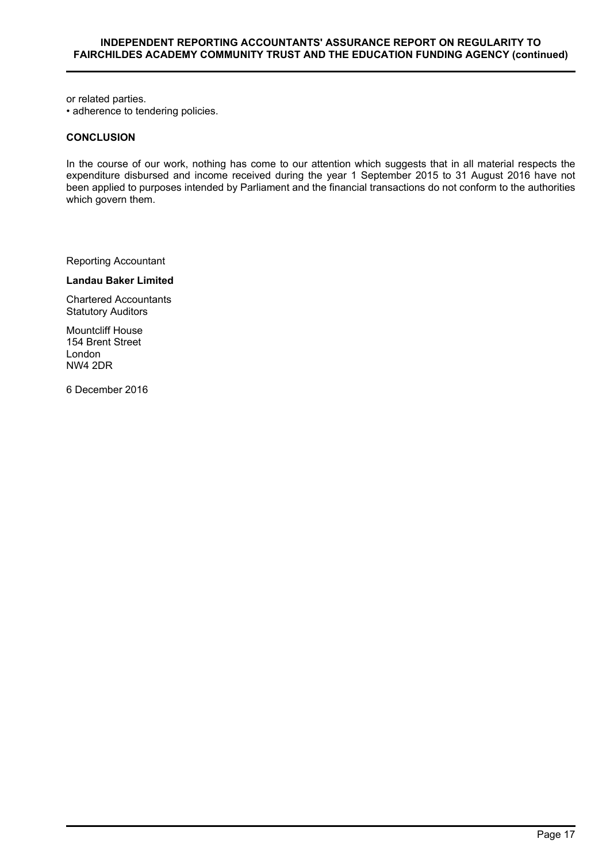or related parties.

• adherence to tendering policies.

#### **CONCLUSION**

In the course of our work, nothing has come to our attention which suggests that in all material respects the expenditure disbursed and income received during the year 1 September 2015 to 31 August 2016 have not been applied to purposes intended by Parliament and the financial transactions do not conform to the authorities which govern them.

Reporting Accountant

**Landau Baker Limited**

Chartered Accountants Statutory Auditors

Mountcliff House 154 Brent Street London NW4 2DR

6 December 2016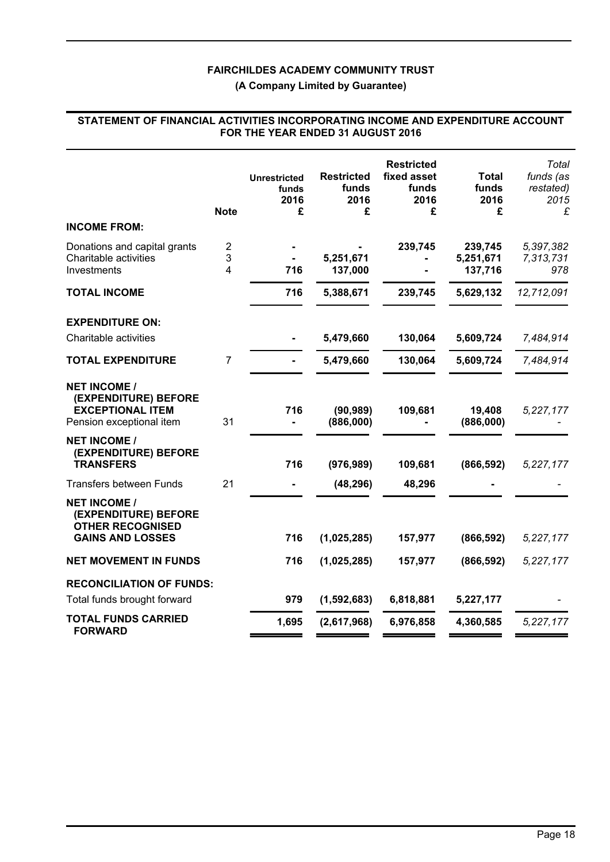**(A Company Limited by Guarantee)**

## **STATEMENT OF FINANCIAL ACTIVITIES INCORPORATING INCOME AND EXPENDITURE ACCOUNT FOR THE YEAR ENDED 31 AUGUST 2016**

|                                                                                                    | <b>Note</b>    | <b>Unrestricted</b><br>funds<br>2016<br>£ | <b>Restricted</b><br>funds<br>2016<br>£ | <b>Restricted</b><br>fixed asset<br>funds<br>2016<br>£ | <b>Total</b><br>funds<br>2016<br>£ | Total<br>funds (as<br>restated)<br>2015<br>£ |
|----------------------------------------------------------------------------------------------------|----------------|-------------------------------------------|-----------------------------------------|--------------------------------------------------------|------------------------------------|----------------------------------------------|
| <b>INCOME FROM:</b>                                                                                |                |                                           |                                         |                                                        |                                    |                                              |
| Donations and capital grants<br>Charitable activities<br>Investments                               | 2<br>3<br>4    | 716                                       | 5,251,671<br>137,000                    | 239,745                                                | 239,745<br>5,251,671<br>137,716    | 5,397,382<br>7,313,731<br>978                |
| <b>TOTAL INCOME</b>                                                                                |                | 716                                       | 5,388,671                               | 239,745                                                | 5,629,132                          | 12,712,091                                   |
| <b>EXPENDITURE ON:</b>                                                                             |                |                                           |                                         |                                                        |                                    |                                              |
| Charitable activities                                                                              |                |                                           | 5,479,660                               | 130,064                                                | 5,609,724                          | 7,484,914                                    |
| <b>TOTAL EXPENDITURE</b>                                                                           | $\overline{7}$ |                                           | 5,479,660                               | 130,064                                                | 5,609,724                          | 7,484,914                                    |
| <b>NET INCOME /</b><br>(EXPENDITURE) BEFORE<br><b>EXCEPTIONAL ITEM</b><br>Pension exceptional item | 31             | 716                                       | (90, 989)<br>(886,000)                  | 109,681                                                | 19,408<br>(886,000)                | 5,227,177                                    |
| <b>NET INCOME /</b><br>(EXPENDITURE) BEFORE<br><b>TRANSFERS</b>                                    |                | 716                                       | (976, 989)                              | 109,681                                                | (866, 592)                         | 5,227,177                                    |
| <b>Transfers between Funds</b>                                                                     | 21             |                                           | (48, 296)                               | 48,296                                                 |                                    |                                              |
| <b>NET INCOME /</b><br>(EXPENDITURE) BEFORE<br><b>OTHER RECOGNISED</b><br><b>GAINS AND LOSSES</b>  |                | 716                                       | (1,025,285)                             | 157,977                                                | (866, 592)                         | 5,227,177                                    |
| <b>NET MOVEMENT IN FUNDS</b>                                                                       |                | 716                                       | (1,025,285)                             | 157,977                                                | (866, 592)                         | 5,227,177                                    |
|                                                                                                    |                |                                           |                                         |                                                        |                                    |                                              |
| <b>RECONCILIATION OF FUNDS:</b><br>Total funds brought forward                                     |                | 979                                       | (1,592,683)                             | 6,818,881                                              | 5,227,177                          |                                              |
| <b>TOTAL FUNDS CARRIED</b>                                                                         |                | 1,695                                     | (2,617,968)                             | 6,976,858                                              | 4,360,585                          | 5,227,177                                    |
| <b>FORWARD</b>                                                                                     |                |                                           |                                         |                                                        |                                    |                                              |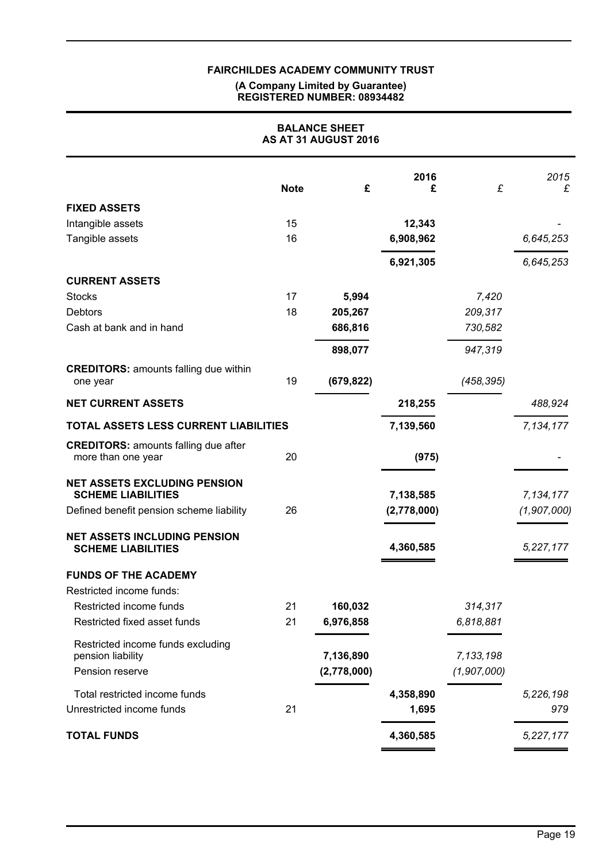#### **(A Company Limited by Guarantee) REGISTERED NUMBER: 08934482**

| <b>BALANCE SHEET</b><br>AS AT 31 AUGUST 2016                      |             |             |             |             |             |  |  |
|-------------------------------------------------------------------|-------------|-------------|-------------|-------------|-------------|--|--|
|                                                                   | <b>Note</b> | £           | 2016<br>£   | £           | 2015<br>£   |  |  |
| <b>FIXED ASSETS</b>                                               |             |             |             |             |             |  |  |
| Intangible assets                                                 | 15          |             | 12,343      |             |             |  |  |
| Tangible assets                                                   | 16          |             | 6,908,962   |             | 6,645,253   |  |  |
|                                                                   |             |             | 6,921,305   |             | 6,645,253   |  |  |
| <b>CURRENT ASSETS</b>                                             |             |             |             |             |             |  |  |
| <b>Stocks</b>                                                     | 17          | 5,994       |             | 7,420       |             |  |  |
| Debtors                                                           | 18          | 205,267     |             | 209,317     |             |  |  |
| Cash at bank and in hand                                          |             | 686,816     |             | 730,582     |             |  |  |
|                                                                   |             | 898,077     |             | 947,319     |             |  |  |
| <b>CREDITORS: amounts falling due within</b><br>one year          | 19          | (679, 822)  |             | (458, 395)  |             |  |  |
| <b>NET CURRENT ASSETS</b>                                         |             |             | 218,255     |             | 488,924     |  |  |
| TOTAL ASSETS LESS CURRENT LIABILITIES                             |             |             | 7,139,560   |             | 7,134,177   |  |  |
| <b>CREDITORS: amounts falling due after</b><br>more than one year | 20          |             | (975)       |             |             |  |  |
| <b>NET ASSETS EXCLUDING PENSION</b><br><b>SCHEME LIABILITIES</b>  |             |             | 7,138,585   |             | 7,134,177   |  |  |
| Defined benefit pension scheme liability                          | 26          |             | (2,778,000) |             | (1,907,000) |  |  |
| <b>NET ASSETS INCLUDING PENSION</b><br><b>SCHEME LIABILITIES</b>  |             |             | 4,360,585   |             | 5,227,177   |  |  |
| <b>FUNDS OF THE ACADEMY</b>                                       |             |             |             |             |             |  |  |
| Restricted income funds:                                          |             |             |             |             |             |  |  |
| Restricted income funds                                           | 21          | 160,032     |             | 314,317     |             |  |  |
| Restricted fixed asset funds                                      | 21          | 6,976,858   |             | 6,818,881   |             |  |  |
| Restricted income funds excluding<br>pension liability            |             | 7,136,890   |             | 7,133,198   |             |  |  |
| Pension reserve                                                   |             | (2,778,000) |             | (1,907,000) |             |  |  |
| Total restricted income funds                                     |             |             | 4,358,890   |             | 5,226,198   |  |  |
| Unrestricted income funds                                         | 21          |             | 1,695       |             | 979         |  |  |
| <b>TOTAL FUNDS</b>                                                |             |             | 4,360,585   |             | 5,227,177   |  |  |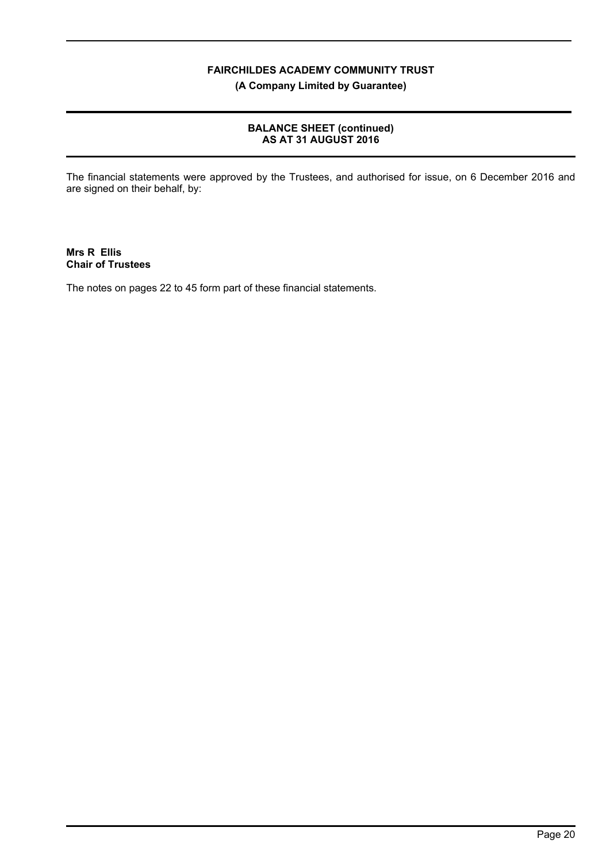**(A Company Limited by Guarantee)**

## **BALANCE SHEET (continued) AS AT 31 AUGUST 2016**

The financial statements were approved by the Trustees, and authorised for issue, on 6 December 2016 and are signed on their behalf, by:

**Mrs R Ellis Chair of Trustees**

The notes on pages 22 to 45 form part of these financial statements.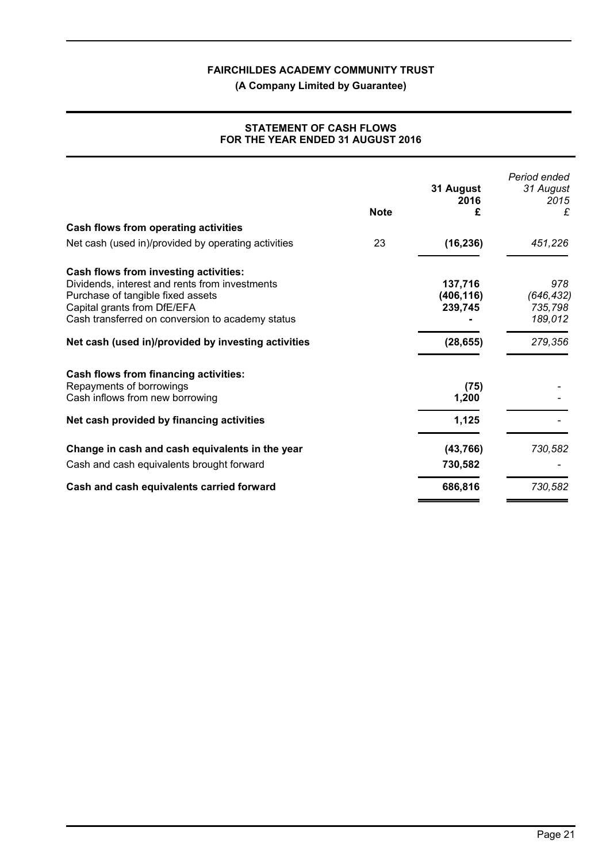**(A Company Limited by Guarantee)**

|                                                                                                                                                                        | <b>Note</b> | 31 August<br>2016<br>£           | Period ended<br>31 August<br>2015<br>£  |
|------------------------------------------------------------------------------------------------------------------------------------------------------------------------|-------------|----------------------------------|-----------------------------------------|
| Cash flows from operating activities                                                                                                                                   |             |                                  |                                         |
| Net cash (used in)/provided by operating activities                                                                                                                    | 23          | (16, 236)                        | 451,226                                 |
| Cash flows from investing activities:                                                                                                                                  |             |                                  |                                         |
| Dividends, interest and rents from investments<br>Purchase of tangible fixed assets<br>Capital grants from DfE/EFA<br>Cash transferred on conversion to academy status |             | 137,716<br>(406, 116)<br>239,745 | 978<br>(646, 432)<br>735,798<br>189,012 |
| Net cash (used in)/provided by investing activities                                                                                                                    |             | (28, 655)                        | 279,356                                 |
| Cash flows from financing activities:                                                                                                                                  |             |                                  |                                         |
| Repayments of borrowings<br>Cash inflows from new borrowing                                                                                                            |             | (75)<br>1,200                    |                                         |
| Net cash provided by financing activities                                                                                                                              |             | 1,125                            |                                         |
| Change in cash and cash equivalents in the year                                                                                                                        |             | (43, 766)                        | 730,582                                 |
| Cash and cash equivalents brought forward                                                                                                                              |             | 730,582                          |                                         |
| Cash and cash equivalents carried forward                                                                                                                              |             | 686,816                          | 730,582                                 |

## **STATEMENT OF CASH FLOWS FOR THE YEAR ENDED 31 AUGUST 2016**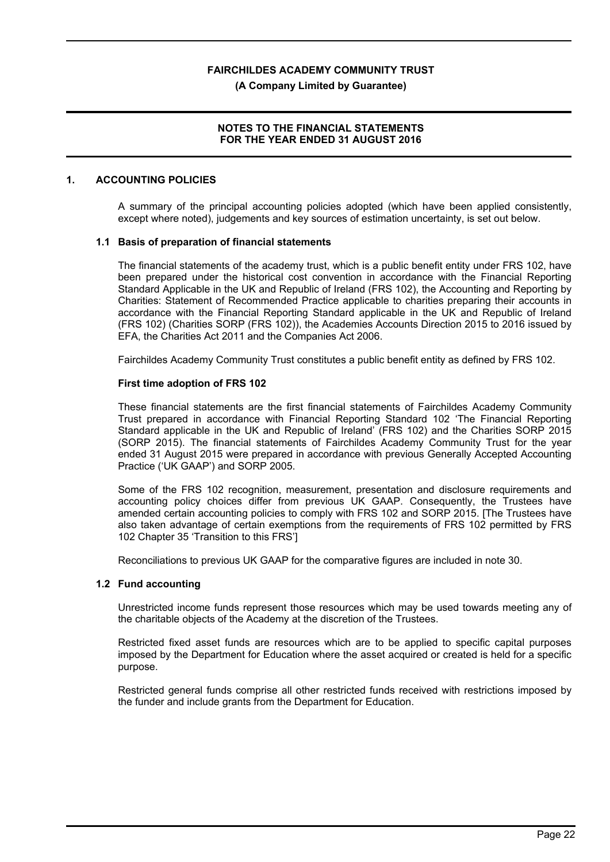**(A Company Limited by Guarantee)**

## **NOTES TO THE FINANCIAL STATEMENTS FOR THE YEAR ENDED 31 AUGUST 2016**

## **1. ACCOUNTING POLICIES**

A summary of the principal accounting policies adopted (which have been applied consistently, except where noted), judgements and key sources of estimation uncertainty, is set out below.

#### **1.1 Basis of preparation of financial statements**

The financial statements of the academy trust, which is a public benefit entity under FRS 102, have been prepared under the historical cost convention in accordance with the Financial Reporting Standard Applicable in the UK and Republic of Ireland (FRS 102), the Accounting and Reporting by Charities: Statement of Recommended Practice applicable to charities preparing their accounts in accordance with the Financial Reporting Standard applicable in the UK and Republic of Ireland (FRS 102) (Charities SORP (FRS 102)), the Academies Accounts Direction 2015 to 2016 issued by EFA, the Charities Act 2011 and the Companies Act 2006.

Fairchildes Academy Community Trust constitutes a public benefit entity as defined by FRS 102.

#### **First time adoption of FRS 102**

These financial statements are the first financial statements of Fairchildes Academy Community Trust prepared in accordance with Financial Reporting Standard 102 'The Financial Reporting Standard applicable in the UK and Republic of Ireland' (FRS 102) and the Charities SORP 2015 (SORP 2015). The financial statements of Fairchildes Academy Community Trust for the year ended 31 August 2015 were prepared in accordance with previous Generally Accepted Accounting Practice ('UK GAAP') and SORP 2005.

Some of the FRS 102 recognition, measurement, presentation and disclosure requirements and accounting policy choices differ from previous UK GAAP. Consequently, the Trustees have amended certain accounting policies to comply with FRS 102 and SORP 2015. [The Trustees have also taken advantage of certain exemptions from the requirements of FRS 102 permitted by FRS 102 Chapter 35 'Transition to this FRS']

Reconciliations to previous UK GAAP for the comparative figures are included in note 30.

#### **1.2 Fund accounting**

Unrestricted income funds represent those resources which may be used towards meeting any of the charitable objects of the Academy at the discretion of the Trustees.

Restricted fixed asset funds are resources which are to be applied to specific capital purposes imposed by the Department for Education where the asset acquired or created is held for a specific purpose.

Restricted general funds comprise all other restricted funds received with restrictions imposed by the funder and include grants from the Department for Education.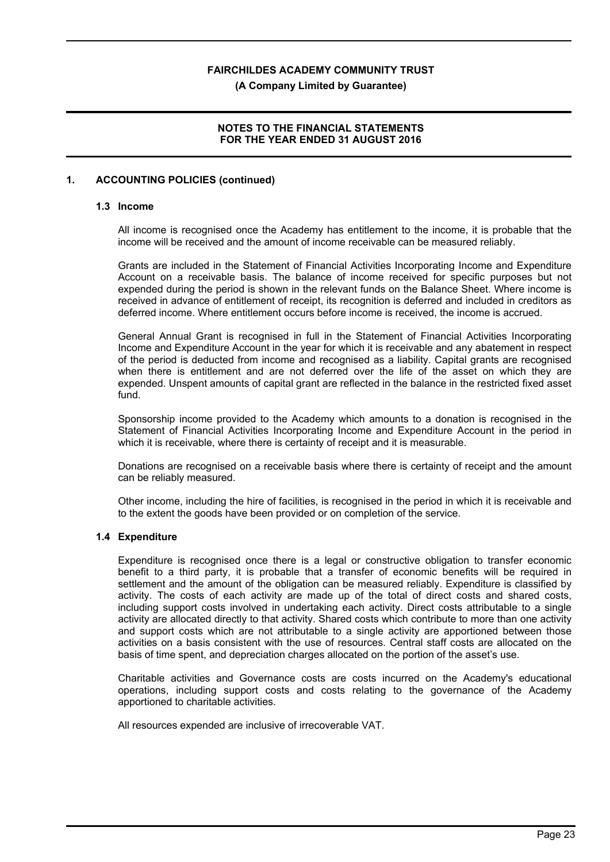**(A Company Limited by Guarantee)**

## **NOTES TO THE FINANCIAL STATEMENTS FOR THE YEAR ENDED 31 AUGUST 2016**

## **1. ACCOUNTING POLICIES (continued)**

#### **1.3 Income**

All income is recognised once the Academy has entitlement to the income, it is probable that the income will be received and the amount of income receivable can be measured reliably.

Grants are included in the Statement of Financial Activities Incorporating Income and Expenditure Account on a receivable basis. The balance of income received for specific purposes but not expended during the period is shown in the relevant funds on the Balance Sheet. Where income is received in advance of entitlement of receipt, its recognition is deferred and included in creditors as deferred income. Where entitlement occurs before income is received, the income is accrued.

General Annual Grant is recognised in full in the Statement of Financial Activities Incorporating Income and Expenditure Account in the year for which it is receivable and any abatement in respect of the period is deducted from income and recognised as a liability. Capital grants are recognised when there is entitlement and are not deferred over the life of the asset on which they are expended. Unspent amounts of capital grant are reflected in the balance in the restricted fixed asset fund.

Sponsorship income provided to the Academy which amounts to a donation is recognised in the Statement of Financial Activities Incorporating Income and Expenditure Account in the period in which it is receivable, where there is certainty of receipt and it is measurable.

Donations are recognised on a receivable basis where there is certainty of receipt and the amount can be reliably measured.

Other income, including the hire of facilities, is recognised in the period in which it is receivable and to the extent the goods have been provided or on completion of the service.

## **1.4 Expenditure**

Expenditure is recognised once there is a legal or constructive obligation to transfer economic benefit to a third party, it is probable that a transfer of economic benefits will be required in settlement and the amount of the obligation can be measured reliably. Expenditure is classified by activity. The costs of each activity are made up of the total of direct costs and shared costs, including support costs involved in undertaking each activity. Direct costs attributable to a single activity are allocated directly to that activity. Shared costs which contribute to more than one activity and support costs which are not attributable to a single activity are apportioned between those activities on a basis consistent with the use of resources. Central staff costs are allocated on the basis of time spent, and depreciation charges allocated on the portion of the asset's use.

Charitable activities and Governance costs are costs incurred on the Academy's educational operations, including support costs and costs relating to the governance of the Academy apportioned to charitable activities.

All resources expended are inclusive of irrecoverable VAT.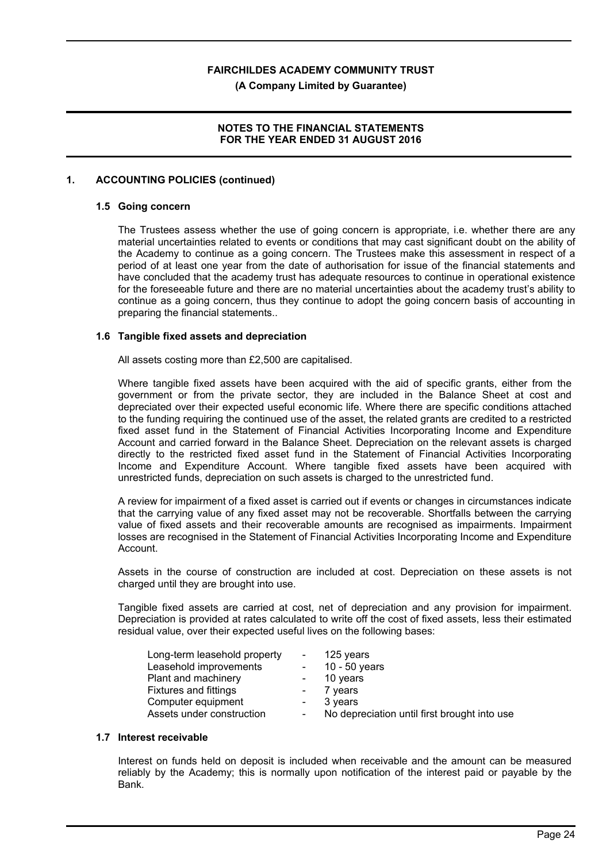**(A Company Limited by Guarantee)**

## **NOTES TO THE FINANCIAL STATEMENTS FOR THE YEAR ENDED 31 AUGUST 2016**

## **1. ACCOUNTING POLICIES (continued)**

#### **1.5 Going concern**

The Trustees assess whether the use of going concern is appropriate, i.e. whether there are any material uncertainties related to events or conditions that may cast significant doubt on the ability of the Academy to continue as a going concern. The Trustees make this assessment in respect of a period of at least one year from the date of authorisation for issue of the financial statements and have concluded that the academy trust has adequate resources to continue in operational existence for the foreseeable future and there are no material uncertainties about the academy trust's ability to continue as a going concern, thus they continue to adopt the going concern basis of accounting in preparing the financial statements..

#### **1.6 Tangible fixed assets and depreciation**

All assets costing more than £2,500 are capitalised.

Where tangible fixed assets have been acquired with the aid of specific grants, either from the government or from the private sector, they are included in the Balance Sheet at cost and depreciated over their expected useful economic life. Where there are specific conditions attached to the funding requiring the continued use of the asset, the related grants are credited to a restricted fixed asset fund in the Statement of Financial Activities Incorporating Income and Expenditure Account and carried forward in the Balance Sheet. Depreciation on the relevant assets is charged directly to the restricted fixed asset fund in the Statement of Financial Activities Incorporating Income and Expenditure Account. Where tangible fixed assets have been acquired with unrestricted funds, depreciation on such assets is charged to the unrestricted fund.

A review for impairment of a fixed asset is carried out if events or changes in circumstances indicate that the carrying value of any fixed asset may not be recoverable. Shortfalls between the carrying value of fixed assets and their recoverable amounts are recognised as impairments. Impairment losses are recognised in the Statement of Financial Activities Incorporating Income and Expenditure Account.

Assets in the course of construction are included at cost. Depreciation on these assets is not charged until they are brought into use.

Tangible fixed assets are carried at cost, net of depreciation and any provision for impairment. Depreciation is provided at rates calculated to write off the cost of fixed assets, less their estimated residual value, over their expected useful lives on the following bases:

| Long-term leasehold property | $\frac{1}{2}$ and $\frac{1}{2}$             | 125 years                                    |
|------------------------------|---------------------------------------------|----------------------------------------------|
| Leasehold improvements       | $\Delta \sim 100$                           | 10 - 50 years                                |
| Plant and machinery          |                                             | 10 years                                     |
| <b>Fixtures and fittings</b> | $\mathbf{m} = \mathbf{m} \times \mathbf{m}$ | 7 years                                      |
| Computer equipment           | $\sim 100$                                  | 3 years                                      |
| Assets under construction    | $\sim$                                      | No depreciation until first brought into use |

#### **1.7 Interest receivable**

Interest on funds held on deposit is included when receivable and the amount can be measured reliably by the Academy; this is normally upon notification of the interest paid or payable by the Bank.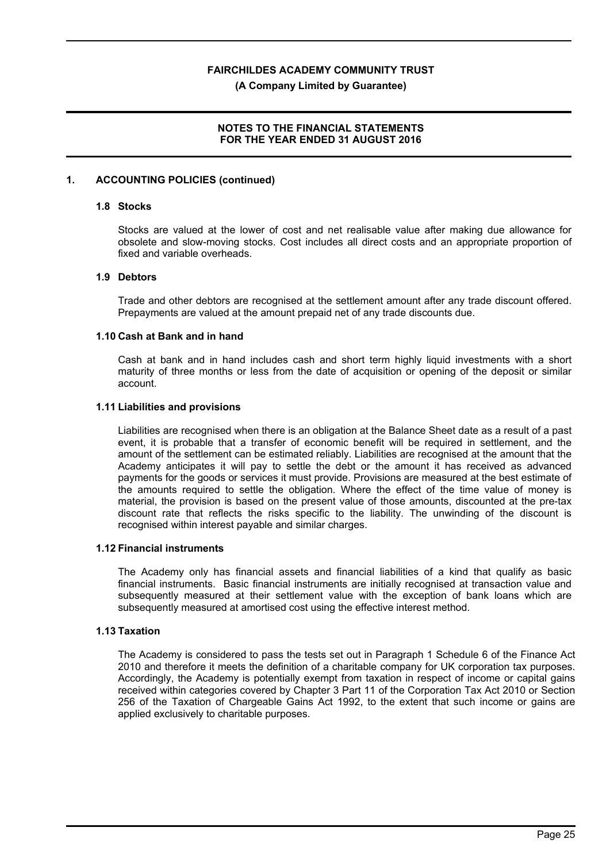#### **(A Company Limited by Guarantee)**

## **NOTES TO THE FINANCIAL STATEMENTS FOR THE YEAR ENDED 31 AUGUST 2016**

#### **1. ACCOUNTING POLICIES (continued)**

#### **1.8 Stocks**

Stocks are valued at the lower of cost and net realisable value after making due allowance for obsolete and slow-moving stocks. Cost includes all direct costs and an appropriate proportion of fixed and variable overheads.

#### **1.9 Debtors**

Trade and other debtors are recognised at the settlement amount after any trade discount offered. Prepayments are valued at the amount prepaid net of any trade discounts due.

#### **1.10 Cash at Bank and in hand**

Cash at bank and in hand includes cash and short term highly liquid investments with a short maturity of three months or less from the date of acquisition or opening of the deposit or similar account.

#### **1.11 Liabilities and provisions**

Liabilities are recognised when there is an obligation at the Balance Sheet date as a result of a past event, it is probable that a transfer of economic benefit will be required in settlement, and the amount of the settlement can be estimated reliably. Liabilities are recognised at the amount that the Academy anticipates it will pay to settle the debt or the amount it has received as advanced payments for the goods or services it must provide. Provisions are measured at the best estimate of the amounts required to settle the obligation. Where the effect of the time value of money is material, the provision is based on the present value of those amounts, discounted at the pre-tax discount rate that reflects the risks specific to the liability. The unwinding of the discount is recognised within interest payable and similar charges.

#### **1.12 Financial instruments**

The Academy only has financial assets and financial liabilities of a kind that qualify as basic financial instruments. Basic financial instruments are initially recognised at transaction value and subsequently measured at their settlement value with the exception of bank loans which are subsequently measured at amortised cost using the effective interest method.

#### **1.13 Taxation**

The Academy is considered to pass the tests set out in Paragraph 1 Schedule 6 of the Finance Act 2010 and therefore it meets the definition of a charitable company for UK corporation tax purposes. Accordingly, the Academy is potentially exempt from taxation in respect of income or capital gains received within categories covered by Chapter 3 Part 11 of the Corporation Tax Act 2010 or Section 256 of the Taxation of Chargeable Gains Act 1992, to the extent that such income or gains are applied exclusively to charitable purposes.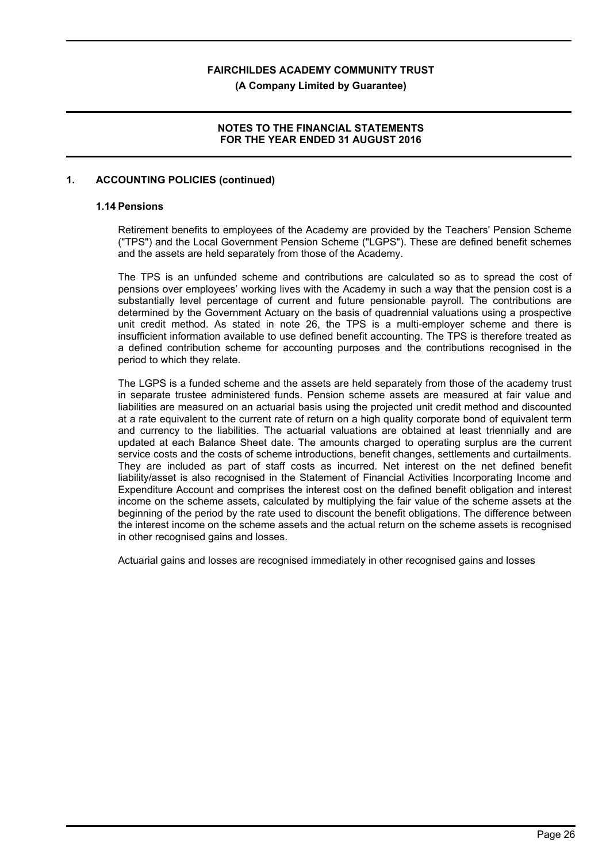**(A Company Limited by Guarantee)**

## **NOTES TO THE FINANCIAL STATEMENTS FOR THE YEAR ENDED 31 AUGUST 2016**

## **1. ACCOUNTING POLICIES (continued)**

#### **1.14 Pensions**

Retirement benefits to employees of the Academy are provided by the Teachers' Pension Scheme ("TPS") and the Local Government Pension Scheme ("LGPS"). These are defined benefit schemes and the assets are held separately from those of the Academy.

The TPS is an unfunded scheme and contributions are calculated so as to spread the cost of pensions over employees' working lives with the Academy in such a way that the pension cost is a substantially level percentage of current and future pensionable payroll. The contributions are determined by the Government Actuary on the basis of quadrennial valuations using a prospective unit credit method. As stated in note 26, the TPS is a multi-employer scheme and there is insufficient information available to use defined benefit accounting. The TPS is therefore treated as a defined contribution scheme for accounting purposes and the contributions recognised in the period to which they relate.

The LGPS is a funded scheme and the assets are held separately from those of the academy trust in separate trustee administered funds. Pension scheme assets are measured at fair value and liabilities are measured on an actuarial basis using the projected unit credit method and discounted at a rate equivalent to the current rate of return on a high quality corporate bond of equivalent term and currency to the liabilities. The actuarial valuations are obtained at least triennially and are updated at each Balance Sheet date. The amounts charged to operating surplus are the current service costs and the costs of scheme introductions, benefit changes, settlements and curtailments. They are included as part of staff costs as incurred. Net interest on the net defined benefit liability/asset is also recognised in the Statement of Financial Activities Incorporating Income and Expenditure Account and comprises the interest cost on the defined benefit obligation and interest income on the scheme assets, calculated by multiplying the fair value of the scheme assets at the beginning of the period by the rate used to discount the benefit obligations. The difference between the interest income on the scheme assets and the actual return on the scheme assets is recognised in other recognised gains and losses.

Actuarial gains and losses are recognised immediately in other recognised gains and losses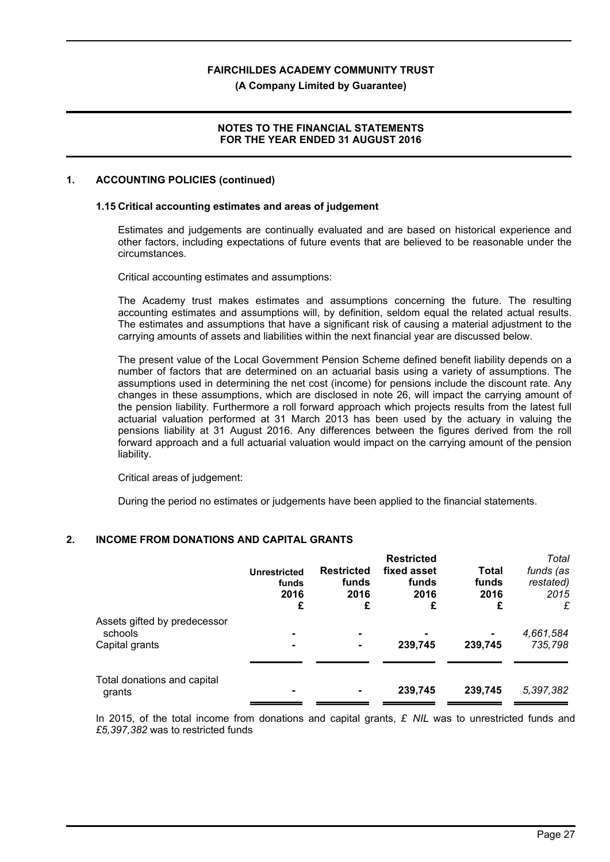**(A Company Limited by Guarantee)**

## **NOTES TO THE FINANCIAL STATEMENTS FOR THE YEAR ENDED 31 AUGUST 2016**

## **1. ACCOUNTING POLICIES (continued)**

#### **1.15 Critical accounting estimates and areas of judgement**

Estimates and judgements are continually evaluated and are based on historical experience and other factors, including expectations of future events that are believed to be reasonable under the circumstances.

Critical accounting estimates and assumptions:

The Academy trust makes estimates and assumptions concerning the future. The resulting accounting estimates and assumptions will, by definition, seldom equal the related actual results. The estimates and assumptions that have a significant risk of causing a material adjustment to the carrying amounts of assets and liabilities within the next financial year are discussed below.

The present value of the Local Government Pension Scheme defined benefit liability depends on a number of factors that are determined on an actuarial basis using a variety of assumptions. The assumptions used in determining the net cost (income) for pensions include the discount rate. Any changes in these assumptions, which are disclosed in note 26, will impact the carrying amount of the pension liability. Furthermore a roll forward approach which projects results from the latest full actuarial valuation performed at 31 March 2013 has been used by the actuary in valuing the pensions liability at 31 August 2016. Any differences between the figures derived from the roll forward approach and a full actuarial valuation would impact on the carrying amount of the pension liability.

Critical areas of judgement:

During the period no estimates or judgements have been applied to the financial statements.

## **2. INCOME FROM DONATIONS AND CAPITAL GRANTS**

| <b>Unrestricted</b><br>funds<br>2016<br>£ | <b>Restricted</b><br>funds<br>2016<br>£ | <b>Restricted</b><br>fixed asset<br>funds<br>2016<br>£ | <b>Total</b><br>funds<br>2016<br>£ | Total<br>funds (as<br>restated)<br>2015<br>£ |
|-------------------------------------------|-----------------------------------------|--------------------------------------------------------|------------------------------------|----------------------------------------------|
|                                           |                                         |                                                        |                                    | 4,661,584                                    |
|                                           | ۰                                       | 239,745                                                | 239,745                            | 735,798                                      |
|                                           |                                         |                                                        |                                    |                                              |
|                                           |                                         | 239,745                                                | 239,745                            | 5,397,382                                    |
|                                           |                                         |                                                        |                                    | ۰                                            |

In 2015, of the total income from donations and capital grants, *£ NIL* was to unrestricted funds and *£5,397,382* was to restricted funds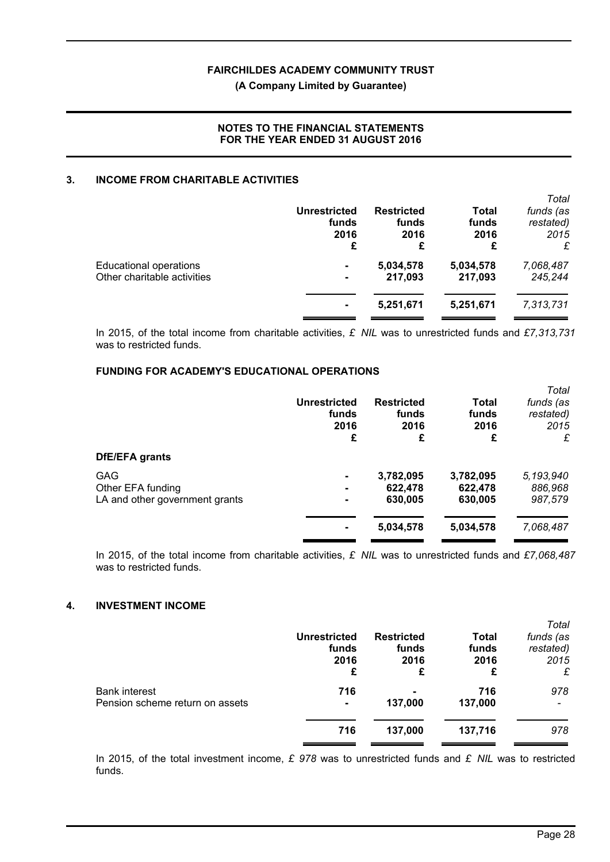## **(A Company Limited by Guarantee)**

## **NOTES TO THE FINANCIAL STATEMENTS FOR THE YEAR ENDED 31 AUGUST 2016**

#### **3. INCOME FROM CHARITABLE ACTIVITIES**

|                                                              | <b>Unrestricted</b><br>funds<br>2016<br>£ | <b>Restricted</b><br>funds<br>2016<br>£ | Total<br>funds<br>2016<br>£ | Total<br>funds (as<br>restated)<br>2015<br>£ |
|--------------------------------------------------------------|-------------------------------------------|-----------------------------------------|-----------------------------|----------------------------------------------|
| <b>Educational operations</b><br>Other charitable activities | ۰<br>٠                                    | 5,034,578<br>217.093                    | 5,034,578<br>217,093        | 7,068,487<br>245,244                         |
|                                                              |                                           | 5,251,671                               | 5,251,671                   | 7,313,731                                    |

In 2015, of the total income from charitable activities, *£ NIL* was to unrestricted funds and *£7,313,731* was to restricted funds.

## **FUNDING FOR ACADEMY'S EDUCATIONAL OPERATIONS**

| DfE/EFA grants                                                    | <b>Unrestricted</b><br>funds<br>2016<br>£ | <b>Restricted</b><br>funds<br>2016<br>£ | Total<br>funds<br>2016<br>£     | Total<br>funds (as<br>restated)<br>2015<br>£ |
|-------------------------------------------------------------------|-------------------------------------------|-----------------------------------------|---------------------------------|----------------------------------------------|
| <b>GAG</b><br>Other EFA funding<br>LA and other government grants | ۰<br>۰.<br>۰                              | 3,782,095<br>622,478<br>630,005         | 3,782,095<br>622,478<br>630,005 | 5,193,940<br>886,968<br>987,579              |
|                                                                   |                                           | 5,034,578                               | 5,034,578                       | 7,068,487                                    |

In 2015, of the total income from charitable activities, *£ NIL* was to unrestricted funds and *£7,068,487* was to restricted funds.

## **4. INVESTMENT INCOME**

|                                                         | <b>Unrestricted</b><br>funds<br>2016<br>£ | <b>Restricted</b><br>funds<br>2016<br>£ | <b>Total</b><br>funds<br>2016<br>£ | Total<br>funds (as<br>restated)<br>2015<br>£ |
|---------------------------------------------------------|-------------------------------------------|-----------------------------------------|------------------------------------|----------------------------------------------|
| <b>Bank interest</b><br>Pension scheme return on assets | 716<br>۰                                  | 137,000                                 | 716<br>137,000                     | 978                                          |
|                                                         | 716                                       | 137,000                                 | 137,716                            | 978                                          |

In 2015, of the total investment income, *£ 978* was to unrestricted funds and *£ NIL* was to restricted funds.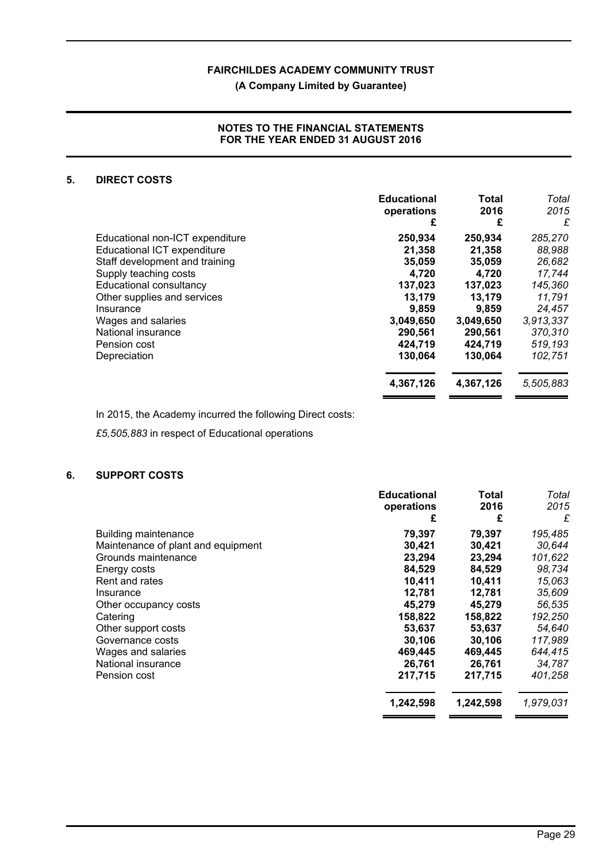## **(A Company Limited by Guarantee)**

## **NOTES TO THE FINANCIAL STATEMENTS FOR THE YEAR ENDED 31 AUGUST 2016**

## **5. DIRECT COSTS**

|                                 | <b>Educational</b><br>operations | <b>Total</b><br>2016 | Total<br>2015 |
|---------------------------------|----------------------------------|----------------------|---------------|
|                                 | £                                | £                    | £             |
| Educational non-ICT expenditure | 250,934                          | 250,934              | 285,270       |
| Educational ICT expenditure     | 21,358                           | 21,358               | 88,988        |
| Staff development and training  | 35,059                           | 35,059               | 26,682        |
| Supply teaching costs           | 4,720                            | 4,720                | 17,744        |
| Educational consultancy         | 137,023                          | 137,023              | 145,360       |
| Other supplies and services     | 13,179                           | 13,179               | 11.791        |
| Insurance                       | 9,859                            | 9,859                | 24,457        |
| Wages and salaries              | 3,049,650                        | 3,049,650            | 3,913,337     |
| National insurance              | 290,561                          | 290.561              | 370,310       |
| Pension cost                    | 424,719                          | 424.719              | 519,193       |
| Depreciation                    | 130,064                          | 130.064              | 102,751       |
|                                 | 4,367,126                        | 4,367,126            | 5,505,883     |

In 2015, the Academy incurred the following Direct costs:

*£5,505,883* in respect of Educational operations

## **6. SUPPORT COSTS**

|                                    | <b>Educational</b><br>operations | Total<br>2016 | Total<br>2015 |
|------------------------------------|----------------------------------|---------------|---------------|
|                                    | £                                | £             | £             |
| Building maintenance               | 79,397                           | 79,397        | 195,485       |
| Maintenance of plant and equipment | 30,421                           | 30,421        | 30,644        |
| Grounds maintenance                | 23,294                           | 23,294        | 101,622       |
| Energy costs                       | 84,529                           | 84,529        | 98,734        |
| Rent and rates                     | 10,411                           | 10,411        | 15,063        |
| Insurance                          | 12,781                           | 12,781        | 35,609        |
| Other occupancy costs              | 45.279                           | 45.279        | 56,535        |
| Catering                           | 158,822                          | 158,822       | 192,250       |
| Other support costs                | 53,637                           | 53,637        | 54,640        |
| Governance costs                   | 30,106                           | 30,106        | 117,989       |
| Wages and salaries                 | 469,445                          | 469,445       | 644,415       |
| National insurance                 | 26,761                           | 26,761        | 34,787        |
| Pension cost                       | 217,715                          | 217,715       | 401,258       |
|                                    | 1,242,598                        | 1,242,598     | 1,979,031     |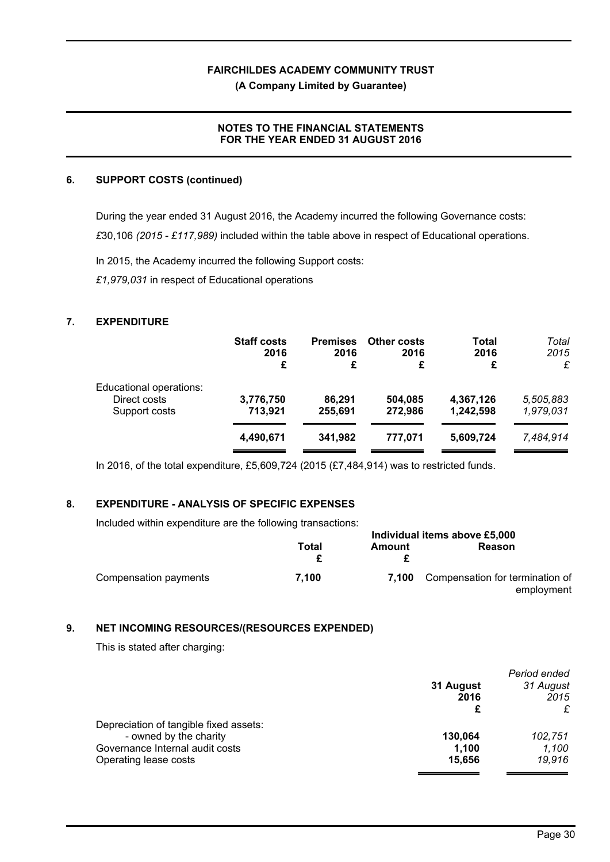**(A Company Limited by Guarantee)**

## **NOTES TO THE FINANCIAL STATEMENTS FOR THE YEAR ENDED 31 AUGUST 2016**

## **6. SUPPORT COSTS (continued)**

During the year ended 31 August 2016, the Academy incurred the following Governance costs: *£*30,106 *(2015 - £117,989)* included within the table above in respect of Educational operations.

In 2015, the Academy incurred the following Support costs:

*£1,979,031* in respect of Educational operations

## **7. EXPENDITURE**

|                         | <b>Staff costs</b> | <b>Premises</b> | <b>Other costs</b> | Total     | Total     |
|-------------------------|--------------------|-----------------|--------------------|-----------|-----------|
|                         | 2016               | 2016            | 2016               | 2016      | 2015      |
|                         | £                  | £               | £                  | £         | £         |
| Educational operations: |                    |                 |                    |           |           |
| Direct costs            | 3,776,750          | 86,291          | 504,085            | 4,367,126 | 5,505,883 |
| Support costs           | 713,921            | 255,691         | 272,986            | 1,242,598 | 1,979,031 |
|                         | 4,490,671          | 341,982         | 777.071            | 5,609,724 | 7,484,914 |

In 2016, of the total expenditure, £5,609,724 (2015 (£7,484,914) was to restricted funds.

## **8. EXPENDITURE - ANALYSIS OF SPECIFIC EXPENSES**

Included within expenditure are the following transactions:

|                       | Individual items above £5,000 |        |                                               |
|-----------------------|-------------------------------|--------|-----------------------------------------------|
|                       | Total                         | Amount | Reason                                        |
| Compensation payments | 7.100                         | 7.100  | Compensation for termination of<br>employment |

## **9. NET INCOMING RESOURCES/(RESOURCES EXPENDED)**

This is stated after charging:

| 31 August<br>2016 | Period ended<br>31 August<br>2015 |
|-------------------|-----------------------------------|
|                   | £                                 |
|                   |                                   |
| 130.064           | 102,751                           |
| 1,100             | 1,100                             |
| 15,656            | 19,916                            |
|                   |                                   |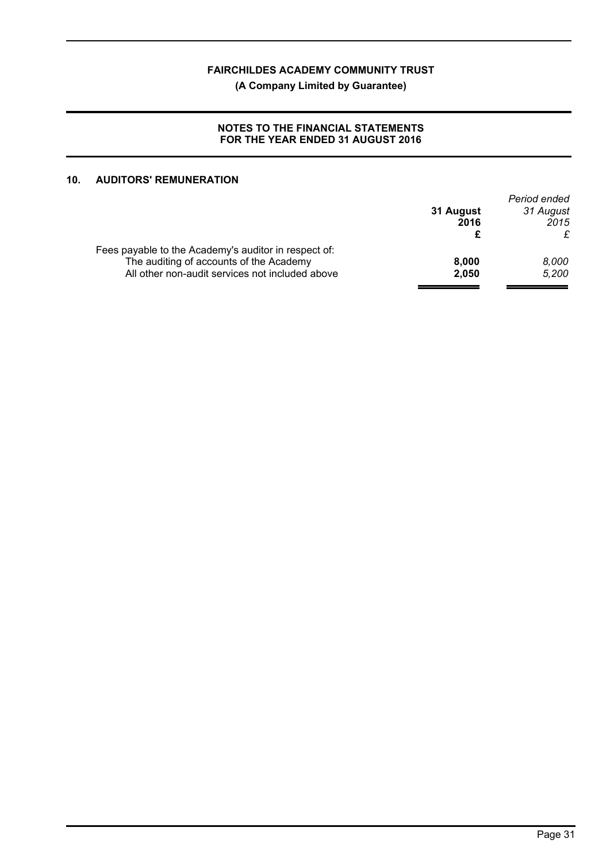## **(A Company Limited by Guarantee)**

## **NOTES TO THE FINANCIAL STATEMENTS FOR THE YEAR ENDED 31 AUGUST 2016**

## **10. AUDITORS' REMUNERATION**

|           | Period ended |
|-----------|--------------|
| 31 August | 31 August    |
| 2016      | 2015         |
|           | £            |
|           |              |
| 8.000     | 8.000        |
| 2.050     | 5.200        |
|           |              |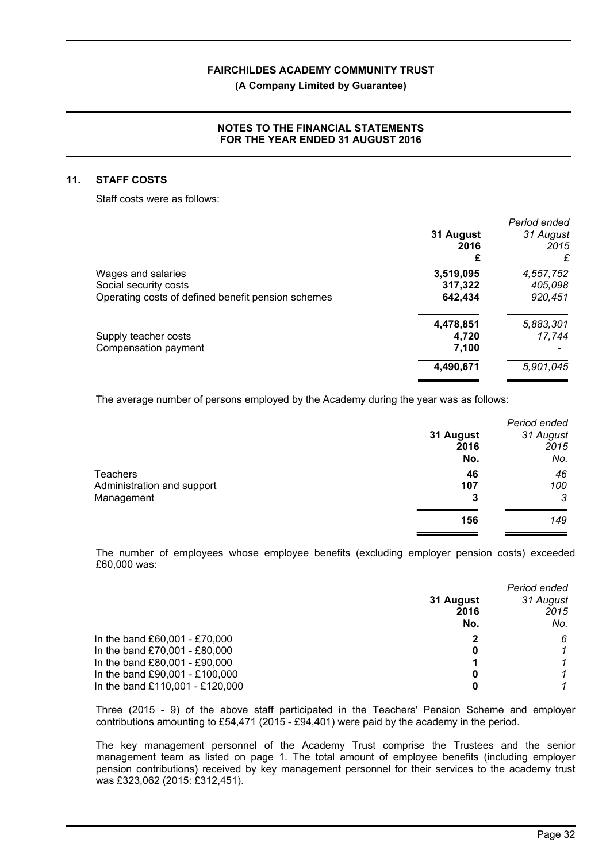#### **(A Company Limited by Guarantee)**

## **NOTES TO THE FINANCIAL STATEMENTS FOR THE YEAR ENDED 31 AUGUST 2016**

#### **11. STAFF COSTS**

Staff costs were as follows:

|                                                    |           | Period ended |
|----------------------------------------------------|-----------|--------------|
|                                                    | 31 August | 31 August    |
|                                                    | 2016      | 2015         |
|                                                    | £         | £            |
| Wages and salaries                                 | 3,519,095 | 4,557,752    |
| Social security costs                              | 317,322   | 405,098      |
| Operating costs of defined benefit pension schemes | 642,434   | 920,451      |
|                                                    | 4,478,851 | 5,883,301    |
| Supply teacher costs                               | 4.720     | 17,744       |
| Compensation payment                               | 7,100     |              |
|                                                    | 4,490,671 | 5,901,045    |
|                                                    |           |              |

The average number of persons employed by the Academy during the year was as follows:

|                            |           | Period ended |
|----------------------------|-----------|--------------|
|                            | 31 August | 31 August    |
|                            | 2016      | 2015         |
|                            | No.       | No.          |
| <b>Teachers</b>            | 46        | 46           |
| Administration and support | 107       | 100          |
| Management                 | 3         | 3            |
|                            | 156       | 149          |

The number of employees whose employee benefits (excluding employer pension costs) exceeded £60,000 was:

|                                 |                        | Period ended |
|---------------------------------|------------------------|--------------|
|                                 | 31 August<br>31 August |              |
|                                 | 2016                   | 2015         |
|                                 | No.                    | No.          |
| In the band £60,001 - £70,000   |                        | 6            |
| In the band £70,001 - £80,000   | 0                      |              |
| In the band £80,001 - £90,000   |                        |              |
| In the band £90,001 - £100,000  | 0                      |              |
| In the band £110,001 - £120,000 | 0                      |              |

Three (2015 - 9) of the above staff participated in the Teachers' Pension Scheme and employer contributions amounting to £54,471 (2015 - £94,401) were paid by the academy in the period.

The key management personnel of the Academy Trust comprise the Trustees and the senior management team as listed on page 1. The total amount of employee benefits (including employer pension contributions) received by key management personnel for their services to the academy trust was £323,062 (2015: £312,451).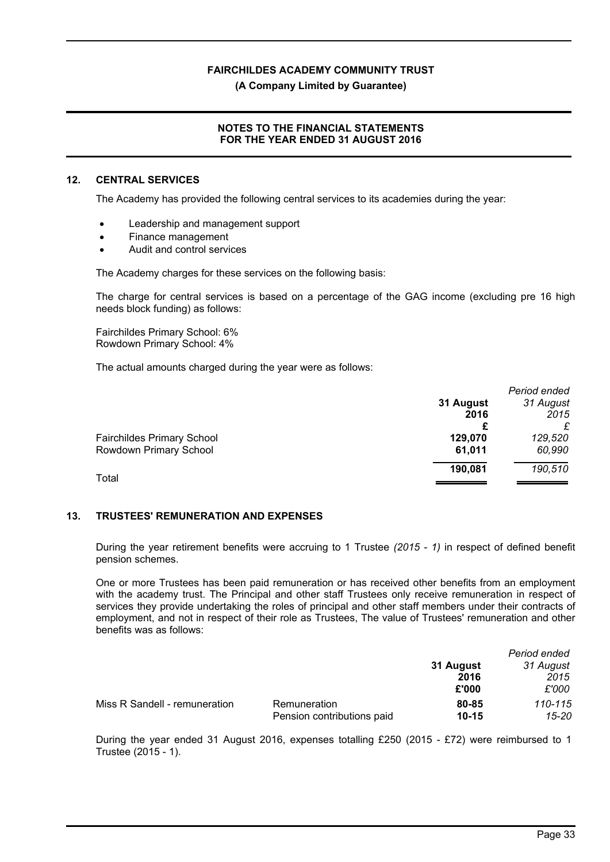**(A Company Limited by Guarantee)**

## **NOTES TO THE FINANCIAL STATEMENTS FOR THE YEAR ENDED 31 AUGUST 2016**

#### **12. CENTRAL SERVICES**

The Academy has provided the following central services to its academies during the year:

- Leadership and management support
- Finance management
- Audit and control services

The Academy charges for these services on the following basis:

The charge for central services is based on a percentage of the GAG income (excluding pre 16 high needs block funding) as follows:

Fairchildes Primary School: 6% Rowdown Primary School: 4%

The actual amounts charged during the year were as follows:

|                                   |           | Period ended |
|-----------------------------------|-----------|--------------|
|                                   | 31 August | 31 August    |
|                                   | 2016      | 2015         |
|                                   |           |              |
| <b>Fairchildes Primary School</b> | 129,070   | 129,520      |
| Rowdown Primary School            | 61,011    | 60,990       |
|                                   | 190,081   | 190,510      |
| Total                             |           |              |

## **13. TRUSTEES' REMUNERATION AND EXPENSES**

During the year retirement benefits were accruing to 1 Trustee *(2015 - 1)* in respect of defined benefit pension schemes.

One or more Trustees has been paid remuneration or has received other benefits from an employment with the academy trust. The Principal and other staff Trustees only receive remuneration in respect of services they provide undertaking the roles of principal and other staff members under their contracts of employment, and not in respect of their role as Trustees, The value of Trustees' remuneration and other benefits was as follows:

|                               |                            |           | Period ended |
|-------------------------------|----------------------------|-----------|--------------|
|                               |                            | 31 August | 31 August    |
|                               |                            | 2016      | 2015         |
|                               |                            | £'000     | £'000        |
| Miss R Sandell - remuneration | Remuneration               | 80-85     | 110-115      |
|                               | Pension contributions paid | $10 - 15$ | 15-20        |

During the year ended 31 August 2016, expenses totalling £250 (2015 - £72) were reimbursed to 1 Trustee (2015 - 1).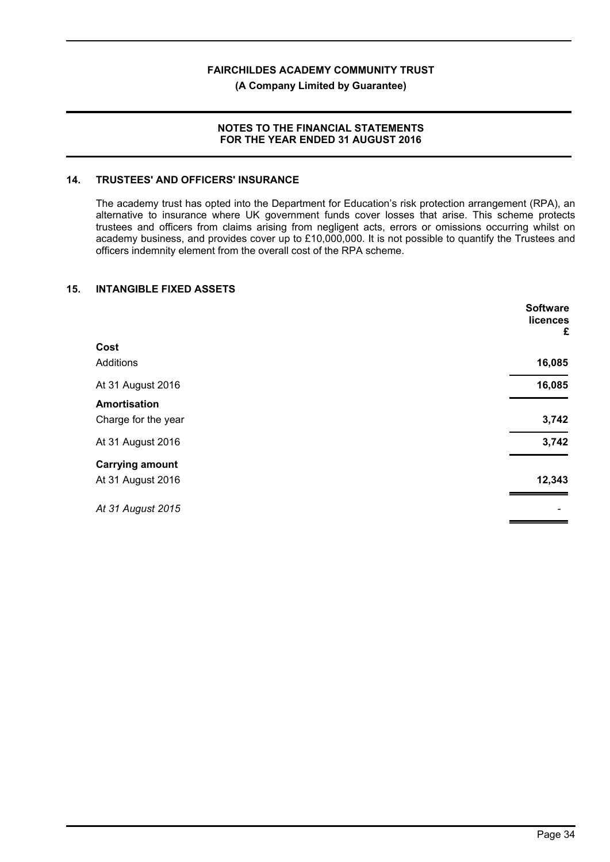#### **(A Company Limited by Guarantee)**

#### **NOTES TO THE FINANCIAL STATEMENTS FOR THE YEAR ENDED 31 AUGUST 2016**

## **14. TRUSTEES' AND OFFICERS' INSURANCE**

The academy trust has opted into the Department for Education's risk protection arrangement (RPA), an alternative to insurance where UK government funds cover losses that arise. This scheme protects trustees and officers from claims arising from negligent acts, errors or omissions occurring whilst on academy business, and provides cover up to £10,000,000. It is not possible to quantify the Trustees and officers indemnity element from the overall cost of the RPA scheme.

## **15. INTANGIBLE FIXED ASSETS**

|                        | <b>Software</b><br>licences<br>£ |
|------------------------|----------------------------------|
| Cost                   |                                  |
| Additions              | 16,085                           |
| At 31 August 2016      | 16,085                           |
| <b>Amortisation</b>    |                                  |
| Charge for the year    | 3,742                            |
| At 31 August 2016      | 3,742                            |
| <b>Carrying amount</b> |                                  |
| At 31 August 2016      | 12,343                           |
| At 31 August 2015      |                                  |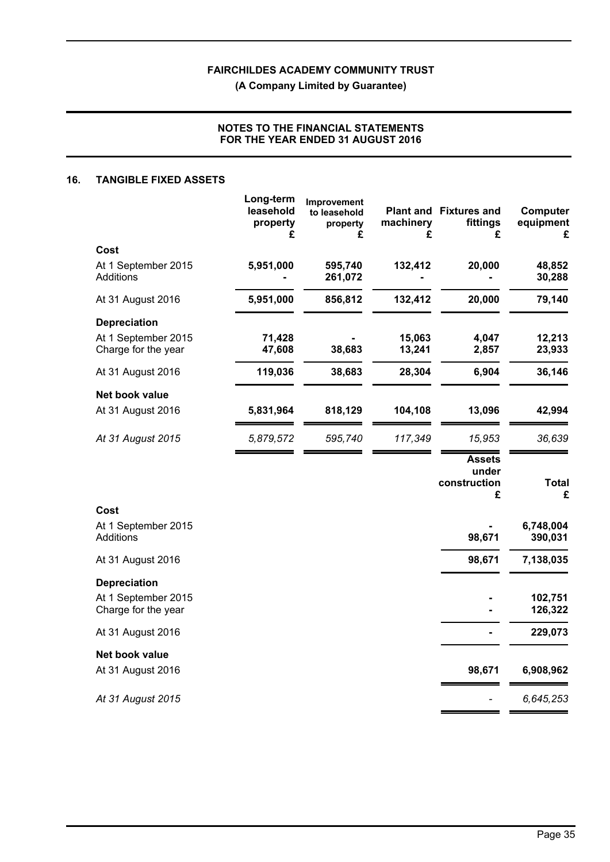**(A Company Limited by Guarantee)**

## **NOTES TO THE FINANCIAL STATEMENTS FOR THE YEAR ENDED 31 AUGUST 2016**

#### **16. TANGIBLE FIXED ASSETS**

|                                            | Long-term<br>leasehold<br>property<br>£ | Improvement<br>to leasehold<br>property<br>£ | machinery<br>£   | <b>Plant and Fixtures and</b><br>fittings<br>£ | Computer<br>equipment<br>£ |
|--------------------------------------------|-----------------------------------------|----------------------------------------------|------------------|------------------------------------------------|----------------------------|
| Cost                                       |                                         |                                              |                  |                                                |                            |
| At 1 September 2015<br>Additions           | 5,951,000                               | 595,740<br>261,072                           | 132,412          | 20,000                                         | 48,852<br>30,288           |
| At 31 August 2016                          | 5,951,000                               | 856,812                                      | 132,412          | 20,000                                         | 79,140                     |
| <b>Depreciation</b>                        |                                         |                                              |                  |                                                |                            |
| At 1 September 2015<br>Charge for the year | 71,428<br>47,608                        | 38,683                                       | 15,063<br>13,241 | 4,047<br>2,857                                 | 12,213<br>23,933           |
| At 31 August 2016                          | 119,036                                 | 38,683                                       | 28,304           | 6,904                                          | 36,146                     |
| Net book value                             |                                         |                                              |                  |                                                |                            |
| At 31 August 2016                          | 5,831,964                               | 818,129                                      | 104,108          | 13,096                                         | 42,994                     |
| At 31 August 2015                          | 5,879,572                               | 595,740                                      | 117,349          | 15,953                                         | 36,639                     |
|                                            |                                         |                                              |                  | <b>Assets</b><br>under<br>construction<br>£    | <b>Total</b><br>£          |
| Cost                                       |                                         |                                              |                  |                                                |                            |
| At 1 September 2015<br>Additions           |                                         |                                              |                  | 98,671                                         | 6,748,004<br>390,031       |
| At 31 August 2016                          |                                         |                                              |                  | 98,671                                         | 7,138,035                  |
| <b>Depreciation</b>                        |                                         |                                              |                  |                                                |                            |
| At 1 September 2015<br>Charge for the year |                                         |                                              |                  |                                                | 102,751<br>126,322         |
| At 31 August 2016                          |                                         |                                              |                  |                                                | 229,073                    |
| Net book value                             |                                         |                                              |                  |                                                |                            |
| At 31 August 2016                          |                                         |                                              |                  | 98,671                                         | 6,908,962                  |
| At 31 August 2015                          |                                         |                                              |                  |                                                | 6,645,253                  |
|                                            |                                         |                                              |                  |                                                |                            |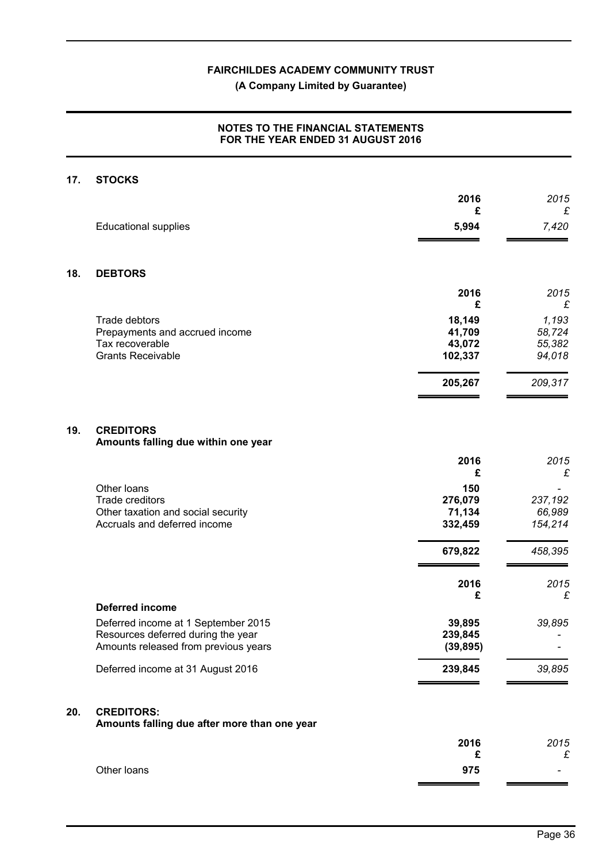## **(A Company Limited by Guarantee)**

## **NOTES TO THE FINANCIAL STATEMENTS FOR THE YEAR ENDED 31 AUGUST 2016**

# **17. STOCKS 2016** *2015*  **£** *£* Educational supplies **5,994** *7,420* **18. DEBTORS 2016** *2015*  **£** *£* Trade debtors **18,149 18,149 18,149 1,193 1,193 1,193 1,193 1,193 1,193 1,193 1,193 1,193 1,193 1,193 1,193 1,193 1,193 1,193 1,193 1,193 1,193 1,193 1,199 1,199 1,199 1,19** Prepayments and accrued income Tax recoverable **43,072** *55,382* Grants Receivable **102,337** *94,018* **205,267** *209,317* **19. CREDITORS Amounts falling due within one year 2016** *2015*  **£** *£* Other loans **150** *-* Trade creditors **276,079 237,192**<br>
Other taxation and social security **276,079 237,192**<br> **21.134** 66.989 Other taxation and social security **71,134** 66,989<br>Accruals and deferred income **154,214** 66,989 **71,134** 66,989 Accruals and deferred income **332,459** *154,214* **679,822** *458,395*  **2016** *2015*  **£** *£* **Deferred income** Deferred income at 1 September 2015 **39,895** *39,895* Resources deferred during the year **239,845** *-* Amounts released from previous years **(39,895)** *-* Deferred income at 31 August 2016 **239,845** *39,895*

## **20. CREDITORS:**

**Amounts falling due after more than one year**

|             | 2016   | 2015   |
|-------------|--------|--------|
|             | r<br>~ | c<br>ᅐ |
| Other loans | 975    | -      |
|             |        |        |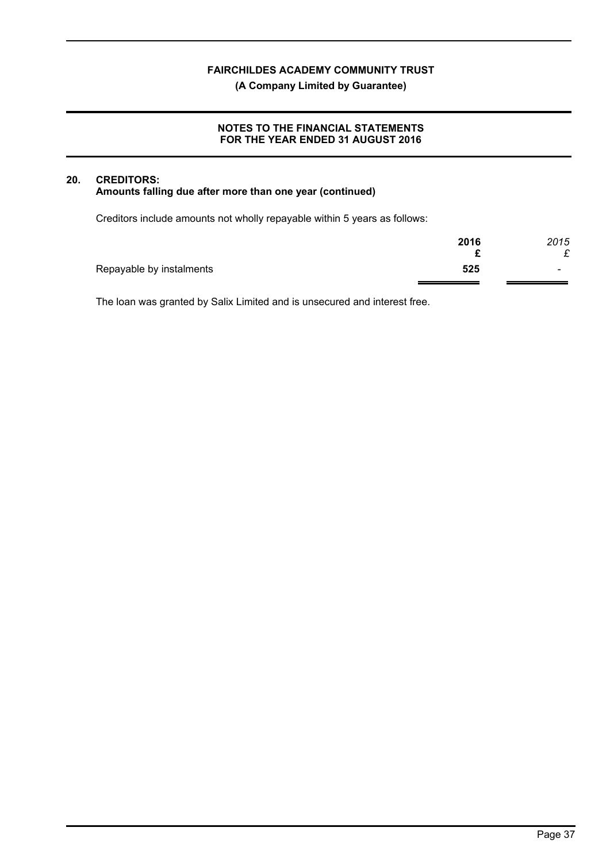## **(A Company Limited by Guarantee)**

## **NOTES TO THE FINANCIAL STATEMENTS FOR THE YEAR ENDED 31 AUGUST 2016**

## **20. CREDITORS: Amounts falling due after more than one year (continued)**

Creditors include amounts not wholly repayable within 5 years as follows:

|                          | 2016 | 2015                     |
|--------------------------|------|--------------------------|
|                          |      | £                        |
| Repayable by instalments | 525  | $\overline{\phantom{0}}$ |
|                          |      |                          |

The loan was granted by Salix Limited and is unsecured and interest free.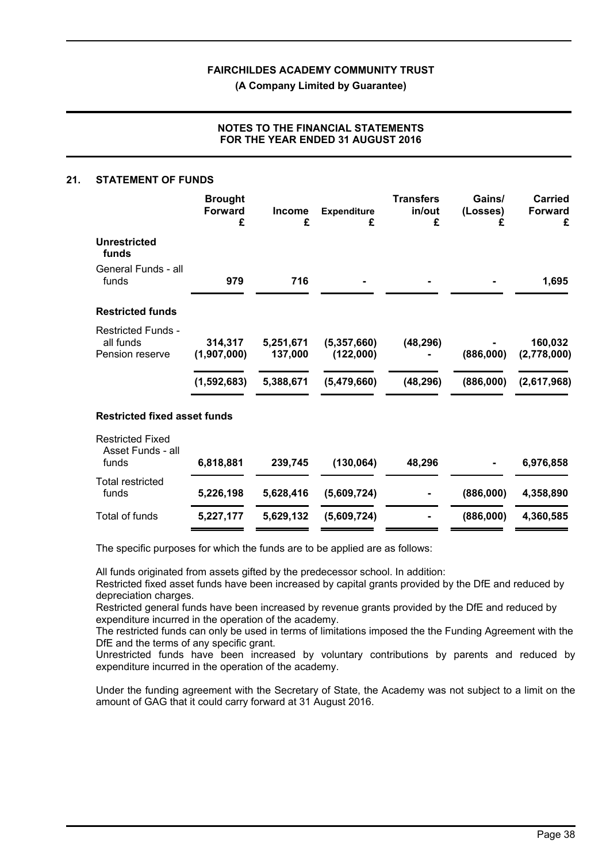**(A Company Limited by Guarantee)**

## **NOTES TO THE FINANCIAL STATEMENTS FOR THE YEAR ENDED 31 AUGUST 2016**

#### **21. STATEMENT OF FUNDS**

|                                                           | <b>Brought</b><br><b>Forward</b><br>£ | <b>Income</b><br>£                | <b>Expenditure</b><br>£                   | <b>Transfers</b><br>in/out<br>£ | Gains/<br>(Losses)<br>£ | <b>Carried</b><br><b>Forward</b><br>£ |
|-----------------------------------------------------------|---------------------------------------|-----------------------------------|-------------------------------------------|---------------------------------|-------------------------|---------------------------------------|
| <b>Unrestricted</b><br>funds                              |                                       |                                   |                                           |                                 |                         |                                       |
| General Funds - all<br>funds                              | 979                                   | 716                               |                                           |                                 |                         | 1,695                                 |
| <b>Restricted funds</b>                                   |                                       |                                   |                                           |                                 |                         |                                       |
| <b>Restricted Funds -</b><br>all funds<br>Pension reserve | 314,317<br>(1,907,000)<br>(1,592,683) | 5,251,671<br>137,000<br>5,388,671 | (5, 357, 660)<br>(122,000)<br>(5,479,660) | (48, 296)<br>(48, 296)          | (886,000)<br>(886,000)  | 160,032<br>(2,778,000)<br>(2,617,968) |
| <b>Restricted fixed asset funds</b>                       |                                       |                                   |                                           |                                 |                         |                                       |
| <b>Restricted Fixed</b><br>Asset Funds - all<br>funds     | 6,818,881                             | 239,745                           | (130, 064)                                | 48,296                          |                         | 6,976,858                             |
| <b>Total restricted</b><br>funds                          | 5,226,198                             | 5,628,416                         | (5,609,724)                               |                                 | (886,000)               | 4,358,890                             |

The specific purposes for which the funds are to be applied are as follows:

All funds originated from assets gifted by the predecessor school. In addition:

Restricted fixed asset funds have been increased by capital grants provided by the DfE and reduced by depreciation charges.

Total of funds **5,227,177 5,629,132 (5,609,724) - (886,000) 4,360,585**

Restricted general funds have been increased by revenue grants provided by the DfE and reduced by expenditure incurred in the operation of the academy.

The restricted funds can only be used in terms of limitations imposed the the Funding Agreement with the DfE and the terms of any specific grant.

Unrestricted funds have been increased by voluntary contributions by parents and reduced by expenditure incurred in the operation of the academy.

Under the funding agreement with the Secretary of State, the Academy was not subject to a limit on the amount of GAG that it could carry forward at 31 August 2016.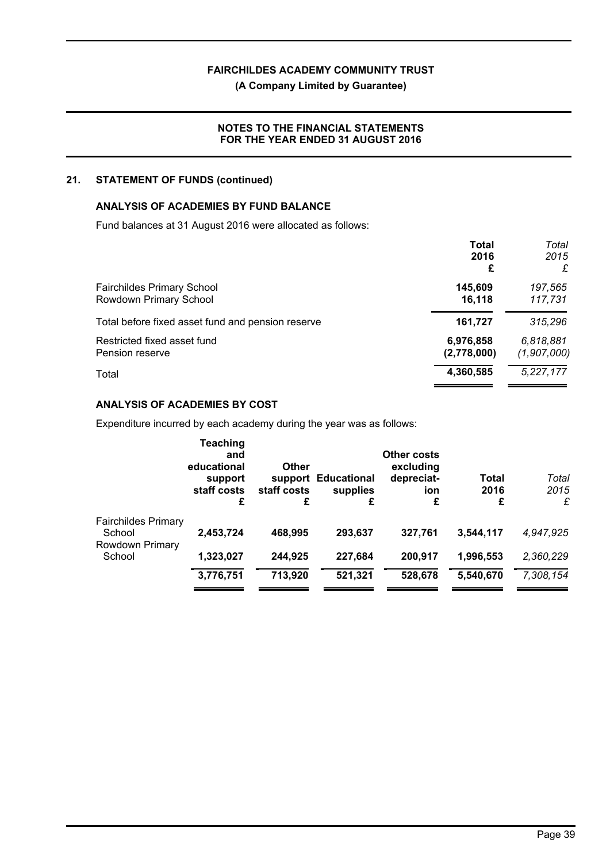## **(A Company Limited by Guarantee)**

## **NOTES TO THE FINANCIAL STATEMENTS FOR THE YEAR ENDED 31 AUGUST 2016**

## **21. STATEMENT OF FUNDS (continued)**

## **ANALYSIS OF ACADEMIES BY FUND BALANCE**

Fund balances at 31 August 2016 were allocated as follows:

|                                                   | <b>Total</b> | Total       |
|---------------------------------------------------|--------------|-------------|
|                                                   | 2016         | 2015        |
|                                                   | £            | £           |
| <b>Fairchildes Primary School</b>                 | 145,609      | 197,565     |
| Rowdown Primary School                            | 16,118       | 117,731     |
| Total before fixed asset fund and pension reserve | 161,727      | 315,296     |
| Restricted fixed asset fund                       | 6,976,858    | 6,818,881   |
| Pension reserve                                   | (2,778,000)  | (1,907,000) |
| Total                                             | 4,360,585    | 5,227,177   |

## **ANALYSIS OF ACADEMIES BY COST**

Expenditure incurred by each academy during the year was as follows:

|                                                         | <b>Teaching</b><br>and<br>educational<br>support<br>staff costs<br>£ | Other<br>support<br>staff costs<br>£ | <b>Educational</b><br>supplies<br>£ | Other costs<br>excluding<br>depreciat-<br>ion<br>£ | Total<br>2016<br>£ | Total<br>2015<br>£ |
|---------------------------------------------------------|----------------------------------------------------------------------|--------------------------------------|-------------------------------------|----------------------------------------------------|--------------------|--------------------|
| <b>Fairchildes Primary</b><br>School<br>Rowdown Primary | 2,453,724                                                            | 468,995                              | 293,637                             | 327.761                                            | 3,544,117          | 4.947.925          |
| School                                                  | 1,323,027                                                            | 244,925                              | 227,684                             | 200,917                                            | 1,996,553          | 2,360,229          |
|                                                         | 3,776,751                                                            | 713,920                              | 521,321                             | 528,678                                            | 5,540,670          | 7,308,154          |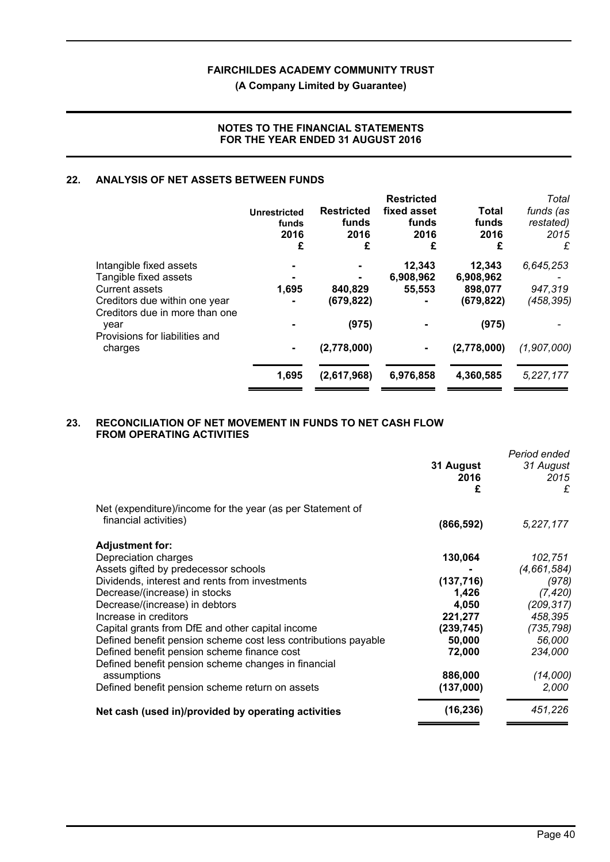## **(A Company Limited by Guarantee)**

## **NOTES TO THE FINANCIAL STATEMENTS FOR THE YEAR ENDED 31 AUGUST 2016**

## **22. ANALYSIS OF NET ASSETS BETWEEN FUNDS**

|                                                                 | <b>Unrestricted</b><br>funds<br>2016<br>£ | <b>Restricted</b><br>funds<br>2016<br>£ | <b>Restricted</b><br>fixed asset<br>funds<br>2016<br>£ | <b>Total</b><br>funds<br>2016<br>£ | Total<br>funds (as<br>restated)<br>2015<br>£ |
|-----------------------------------------------------------------|-------------------------------------------|-----------------------------------------|--------------------------------------------------------|------------------------------------|----------------------------------------------|
| Intangible fixed assets                                         |                                           |                                         | 12,343                                                 | 12,343                             | 6,645,253                                    |
| Tangible fixed assets                                           |                                           |                                         | 6,908,962                                              | 6,908,962                          |                                              |
| <b>Current assets</b>                                           | 1,695                                     | 840,829                                 | 55,553                                                 | 898,077                            | 947,319                                      |
| Creditors due within one year<br>Creditors due in more than one |                                           | (679, 822)                              |                                                        | (679, 822)                         | (458,395)                                    |
| year<br>Provisions for liabilities and                          |                                           | (975)                                   |                                                        | (975)                              |                                              |
| charges                                                         | ۰                                         | (2,778,000)                             |                                                        | (2,778,000)                        | (1,907,000)                                  |
|                                                                 | 1,695                                     | (2,617,968)                             | 6,976,858                                              | 4,360,585                          | 5,227,177                                    |

## **23. RECONCILIATION OF NET MOVEMENT IN FUNDS TO NET CASH FLOW FROM OPERATING ACTIVITIES**

|                                                                |            | Period ended |
|----------------------------------------------------------------|------------|--------------|
|                                                                | 31 August  | 31 August    |
|                                                                | 2016       | 2015         |
|                                                                | £          | £            |
| Net (expenditure)/income for the year (as per Statement of     |            |              |
| financial activities)                                          | (866, 592) | 5,227,177    |
| <b>Adjustment for:</b>                                         |            |              |
| Depreciation charges                                           | 130,064    | 102,751      |
| Assets gifted by predecessor schools                           |            | (4,661,584)  |
| Dividends, interest and rents from investments                 | (137, 716) | (978)        |
| Decrease/(increase) in stocks                                  | 1,426      | (7, 420)     |
| Decrease/(increase) in debtors                                 | 4,050      | (209, 317)   |
| Increase in creditors                                          | 221,277    | 458,395      |
| Capital grants from DfE and other capital income               | (239, 745) | (735, 798)   |
| Defined benefit pension scheme cost less contributions payable | 50,000     | 56,000       |
| Defined benefit pension scheme finance cost                    | 72,000     | 234,000      |
| Defined benefit pension scheme changes in financial            |            |              |
| assumptions                                                    | 886,000    | (14,000)     |
| Defined benefit pension scheme return on assets                | (137,000)  | 2,000        |
| Net cash (used in)/provided by operating activities            | (16, 236)  | 451,226      |
|                                                                |            |              |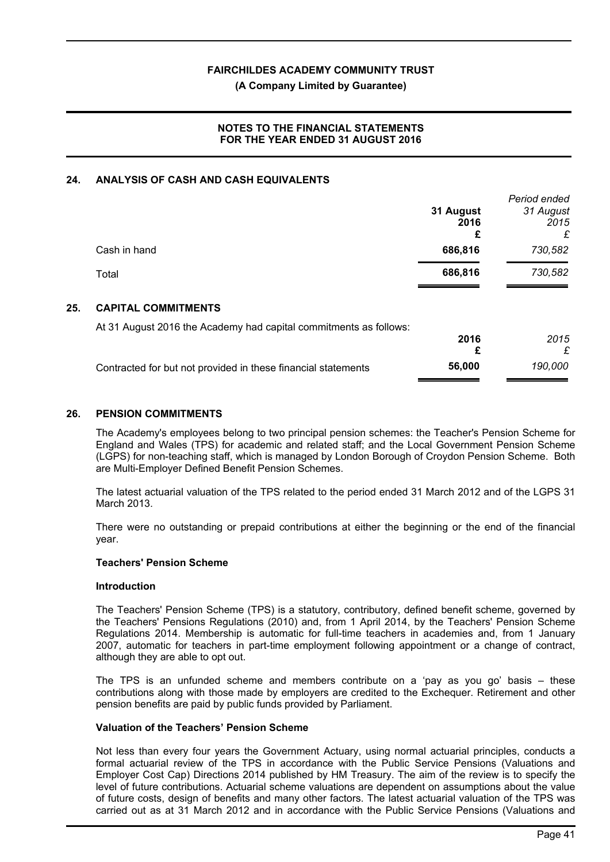#### **(A Company Limited by Guarantee)**

## **NOTES TO THE FINANCIAL STATEMENTS FOR THE YEAR ENDED 31 AUGUST 2016**

## **24. ANALYSIS OF CASH AND CASH EQUIVALENTS**

|     |                                                                   | 31 August<br>2016<br>£ | Period ended<br>31 August<br>2015<br>£ |
|-----|-------------------------------------------------------------------|------------------------|----------------------------------------|
|     | Cash in hand                                                      | 686,816                | 730,582                                |
|     | Total                                                             | 686,816                | 730,582                                |
| 25. | <b>CAPITAL COMMITMENTS</b>                                        |                        |                                        |
|     | At 31 August 2016 the Academy had capital commitments as follows: | 2016<br>£              | 2015<br>£                              |
|     | Contracted for but not provided in these financial statements     | 56,000                 | 190,000                                |

#### **26. PENSION COMMITMENTS**

The Academy's employees belong to two principal pension schemes: the Teacher's Pension Scheme for England and Wales (TPS) for academic and related staff; and the Local Government Pension Scheme (LGPS) for non-teaching staff, which is managed by London Borough of Croydon Pension Scheme. Both are Multi-Employer Defined Benefit Pension Schemes.

The latest actuarial valuation of the TPS related to the period ended 31 March 2012 and of the LGPS 31 March 2013.

There were no outstanding or prepaid contributions at either the beginning or the end of the financial year.

#### **Teachers' Pension Scheme**

#### **Introduction**

The Teachers' Pension Scheme (TPS) is a statutory, contributory, defined benefit scheme, governed by the Teachers' Pensions Regulations (2010) and, from 1 April 2014, by the Teachers' Pension Scheme Regulations 2014. Membership is automatic for full-time teachers in academies and, from 1 January 2007, automatic for teachers in part-time employment following appointment or a change of contract, although they are able to opt out.

The TPS is an unfunded scheme and members contribute on a 'pay as you go' basis – these contributions along with those made by employers are credited to the Exchequer. Retirement and other pension benefits are paid by public funds provided by Parliament.

#### **Valuation of the Teachers' Pension Scheme**

Not less than every four years the Government Actuary, using normal actuarial principles, conducts a formal actuarial review of the TPS in accordance with the Public Service Pensions (Valuations and Employer Cost Cap) Directions 2014 published by HM Treasury. The aim of the review is to specify the level of future contributions. Actuarial scheme valuations are dependent on assumptions about the value of future costs, design of benefits and many other factors. The latest actuarial valuation of the TPS was carried out as at 31 March 2012 and in accordance with the Public Service Pensions (Valuations and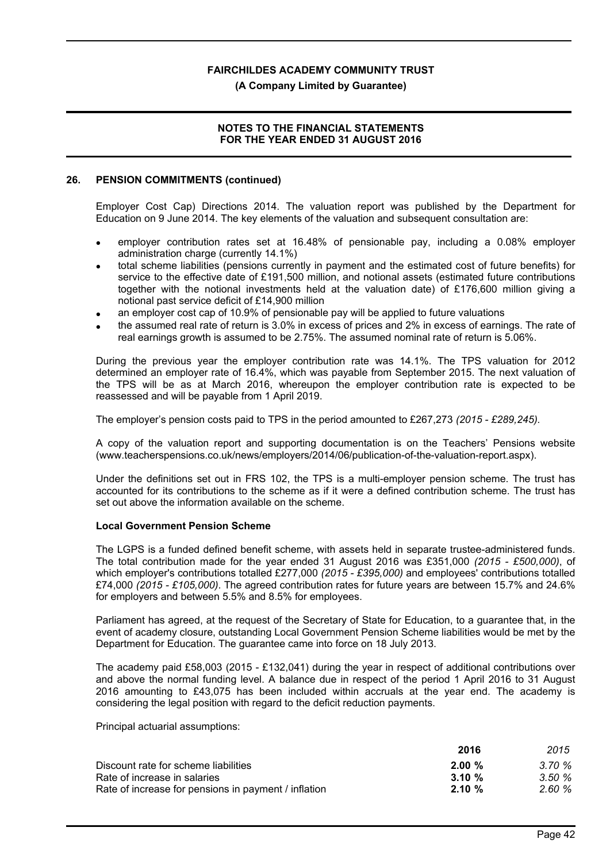**(A Company Limited by Guarantee)**

## **NOTES TO THE FINANCIAL STATEMENTS FOR THE YEAR ENDED 31 AUGUST 2016**

#### **26. PENSION COMMITMENTS (continued)**

Employer Cost Cap) Directions 2014. The valuation report was published by the Department for Education on 9 June 2014. The key elements of the valuation and subsequent consultation are:

- employer contribution rates set at 16.48% of pensionable pay, including a 0.08% employer administration charge (currently 14.1%)
- total scheme liabilities (pensions currently in payment and the estimated cost of future benefits) for service to the effective date of £191,500 million, and notional assets (estimated future contributions together with the notional investments held at the valuation date) of £176,600 million giving a notional past service deficit of £14,900 million
- an employer cost cap of 10.9% of pensionable pay will be applied to future valuations
- the assumed real rate of return is 3.0% in excess of prices and 2% in excess of earnings. The rate of real earnings growth is assumed to be 2.75%. The assumed nominal rate of return is 5.06%.

During the previous year the employer contribution rate was 14.1%. The TPS valuation for 2012 determined an employer rate of 16.4%, which was payable from September 2015. The next valuation of the TPS will be as at March 2016, whereupon the employer contribution rate is expected to be reassessed and will be payable from 1 April 2019.

The employer's pension costs paid to TPS in the period amounted to £267,273 *(2015 - £289,245).*

A copy of the valuation report and supporting documentation is on the Teachers' Pensions website (www.teacherspensions.co.uk/news/employers/2014/06/publication-of-the-valuation-report.aspx).

Under the definitions set out in FRS 102, the TPS is a multi-employer pension scheme. The trust has accounted for its contributions to the scheme as if it were a defined contribution scheme. The trust has set out above the information available on the scheme.

## **Local Government Pension Scheme**

The LGPS is a funded defined benefit scheme, with assets held in separate trustee-administered funds. The total contribution made for the year ended 31 August 2016 was £351,000 *(2015 - £500,000)*, of which employer's contributions totalled £277,000 *(2015 - £395,000)* and employees' contributions totalled £74,000 *(2015 - £105,000)*. The agreed contribution rates for future years are between 15.7% and 24.6% for employers and between 5.5% and 8.5% for employees.

Parliament has agreed, at the request of the Secretary of State for Education, to a guarantee that, in the event of academy closure, outstanding Local Government Pension Scheme liabilities would be met by the Department for Education. The guarantee came into force on 18 July 2013.

The academy paid £58,003 (2015 - £132,041) during the year in respect of additional contributions over and above the normal funding level. A balance due in respect of the period 1 April 2016 to 31 August 2016 amounting to £43,075 has been included within accruals at the year end. The academy is considering the legal position with regard to the deficit reduction payments.

Principal actuarial assumptions:

|                                                      | 2016      | 2015  |
|------------------------------------------------------|-----------|-------|
| Discount rate for scheme liabilities                 | 2.00%     | 3.70% |
| Rate of increase in salaries                         | $3.10 \%$ | 3.50% |
| Rate of increase for pensions in payment / inflation | $2.10 \%$ | 2.60% |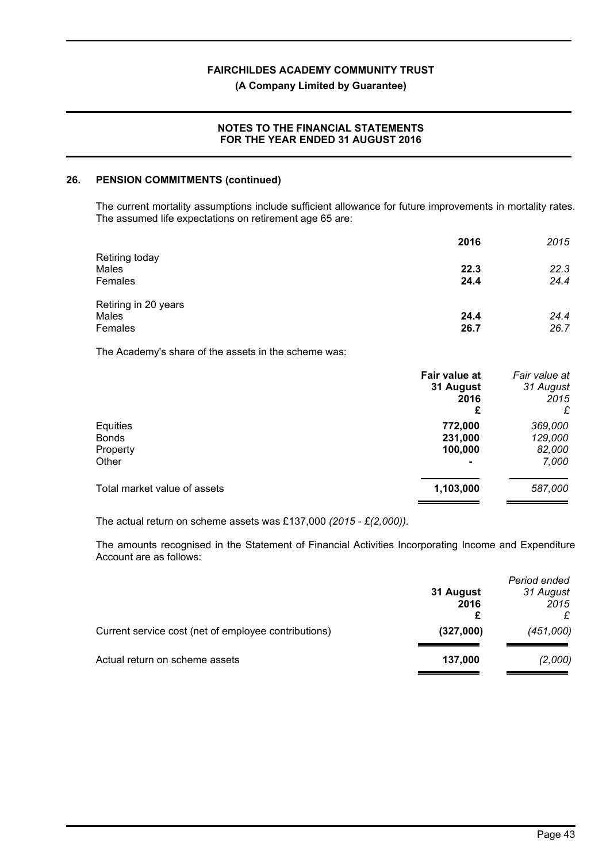#### **(A Company Limited by Guarantee)**

## **NOTES TO THE FINANCIAL STATEMENTS FOR THE YEAR ENDED 31 AUGUST 2016**

#### **26. PENSION COMMITMENTS (continued)**

The current mortality assumptions include sufficient allowance for future improvements in mortality rates. The assumed life expectations on retirement age 65 are:

|                      | 2016 | 2015 |
|----------------------|------|------|
| Retiring today       |      |      |
| Males                | 22.3 | 22.3 |
| Females              | 24.4 | 24.4 |
| Retiring in 20 years |      |      |
| Males                | 24.4 | 24.4 |
| Females              | 26.7 | 26.7 |

The Academy's share of the assets in the scheme was:

|                              | Fair value at | Fair value at |
|------------------------------|---------------|---------------|
|                              | 31 August     | 31 August     |
|                              | 2016          | 2015          |
|                              | £             | £             |
| Equities                     | 772,000       | 369,000       |
| <b>Bonds</b>                 | 231,000       | 129,000       |
| Property                     | 100,000       | 82,000        |
| Other                        |               | 7,000         |
| Total market value of assets | 1,103,000     | 587,000       |
|                              |               |               |

The actual return on scheme assets was £137,000 *(2015 - £(2,000)).*

The amounts recognised in the Statement of Financial Activities Incorporating Income and Expenditure Account are as follows:

|                                                      | Period ended<br>31 August<br>31 August<br>2015<br>2016 |           |
|------------------------------------------------------|--------------------------------------------------------|-----------|
| Current service cost (net of employee contributions) | (327,000)                                              | (451,000) |
| Actual return on scheme assets                       | 137,000                                                | (2,000)   |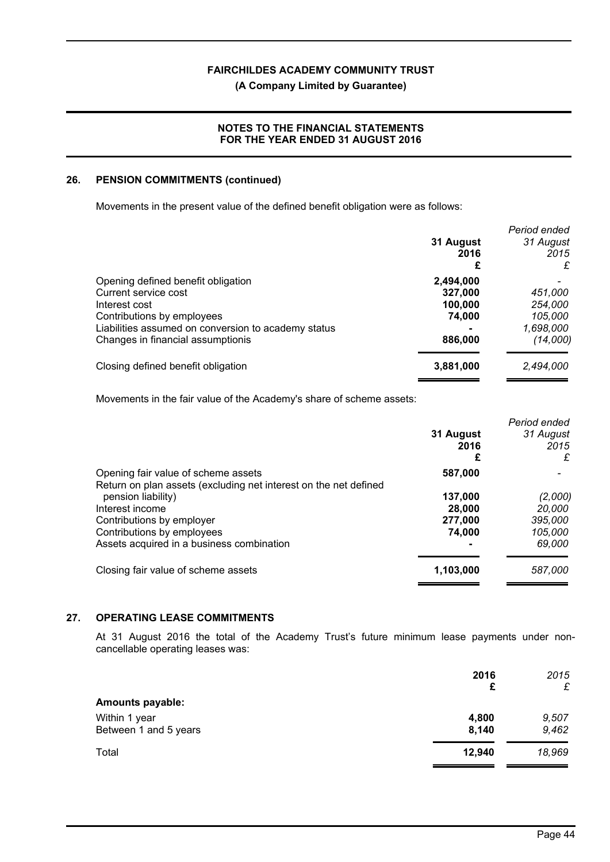## **(A Company Limited by Guarantee)**

## **NOTES TO THE FINANCIAL STATEMENTS FOR THE YEAR ENDED 31 AUGUST 2016**

### **26. PENSION COMMITMENTS (continued)**

Movements in the present value of the defined benefit obligation were as follows:

|                                                     | 31 August<br>2016 | Period ended<br>31 August<br>2015<br>£ |
|-----------------------------------------------------|-------------------|----------------------------------------|
| Opening defined benefit obligation                  | 2,494,000         |                                        |
| Current service cost                                | 327.000           | 451,000                                |
| Interest cost                                       | 100,000           | 254,000                                |
| Contributions by employees                          | 74,000            | 105,000                                |
| Liabilities assumed on conversion to academy status |                   | 1,698,000                              |
| Changes in financial assumptionis                   | 886,000           | (14,000)                               |
| Closing defined benefit obligation                  | 3,881,000         | 2,494,000                              |

Movements in the fair value of the Academy's share of scheme assets:

|                        | Period ended           |
|------------------------|------------------------|
| 31 August<br>2016<br>£ | 31 August<br>2015<br>£ |
| 587,000                |                        |
|                        |                        |
| 137,000                | (2,000)                |
| 28,000                 | 20,000                 |
| 277,000                | 395,000                |
| 74,000                 | 105,000                |
|                        | 69,000                 |
| 1,103,000              | 587,000                |
|                        |                        |

## **27. OPERATING LEASE COMMITMENTS**

At 31 August 2016 the total of the Academy Trust's future minimum lease payments under noncancellable operating leases was:

|                         | 2016<br>£ | 2015<br>£ |
|-------------------------|-----------|-----------|
| <b>Amounts payable:</b> |           |           |
| Within 1 year           | 4,800     | 9,507     |
| Between 1 and 5 years   | 8,140     | 9,462     |
| Total                   | 12,940    | 18,969    |